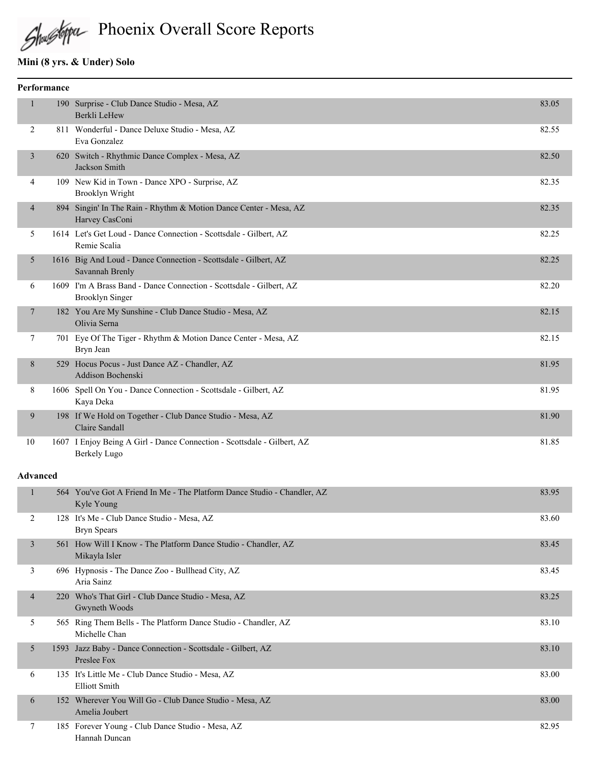Shughipu Phoenix Overall Score Reports

# **Mini (8 yrs. & Under) Solo**

|                          | Performance |                                                                                               |       |
|--------------------------|-------------|-----------------------------------------------------------------------------------------------|-------|
| 1                        |             | 190 Surprise - Club Dance Studio - Mesa, AZ<br>Berkli LeHew                                   | 83.05 |
| 2                        |             | 811 Wonderful - Dance Deluxe Studio - Mesa, AZ<br>Eva Gonzalez                                | 82.55 |
| 3                        |             | 620 Switch - Rhythmic Dance Complex - Mesa, AZ<br>Jackson Smith                               | 82.50 |
| 4                        |             | 109 New Kid in Town - Dance XPO - Surprise, AZ<br>Brooklyn Wright                             | 82.35 |
| 4                        |             | 894 Singin' In The Rain - Rhythm & Motion Dance Center - Mesa, AZ<br>Harvey CasConi           | 82.35 |
| 5                        |             | 1614 Let's Get Loud - Dance Connection - Scottsdale - Gilbert, AZ<br>Remie Scalia             | 82.25 |
| 5                        |             | 1616 Big And Loud - Dance Connection - Scottsdale - Gilbert, AZ<br>Savannah Brenly            | 82.25 |
| 6                        |             | 1609 I'm A Brass Band - Dance Connection - Scottsdale - Gilbert, AZ<br><b>Brooklyn Singer</b> | 82.20 |
| $\tau$                   |             | 182 You Are My Sunshine - Club Dance Studio - Mesa, AZ<br>Olivia Serna                        | 82.15 |
| 7                        |             | 701 Eye Of The Tiger - Rhythm & Motion Dance Center - Mesa, AZ<br>Bryn Jean                   | 82.15 |
| 8                        |             | 529 Hocus Pocus - Just Dance AZ - Chandler, AZ<br>Addison Bochenski                           | 81.95 |
| 8                        |             | 1606 Spell On You - Dance Connection - Scottsdale - Gilbert, AZ<br>Kaya Deka                  | 81.95 |
| 9                        |             | 198 If We Hold on Together - Club Dance Studio - Mesa, AZ<br>Claire Sandall                   | 81.90 |
| 10                       |             | 1607 I Enjoy Being A Girl - Dance Connection - Scottsdale - Gilbert, AZ<br>Berkely Lugo       | 81.85 |
| <b>Advanced</b>          |             |                                                                                               |       |
| $\mathbf{1}$             |             | 564 You've Got A Friend In Me - The Platform Dance Studio - Chandler, AZ<br>Kyle Young        | 83.95 |
| 2                        |             | 128 It's Me - Club Dance Studio - Mesa, AZ<br><b>Bryn Spears</b>                              | 83.60 |
| $\overline{3}$           |             | 561 How Will I Know - The Platform Dance Studio - Chandler, AZ<br>Mikayla Isler               | 83.45 |
| 3                        |             | 696 Hypnosis - The Dance Zoo - Bullhead City, AZ<br>Aria Sainz                                | 83.45 |
| $\overline{\mathcal{A}}$ |             | 220 Who's That Girl - Club Dance Studio - Mesa, AZ<br>Gwyneth Woods                           | 83.25 |
| 5                        |             | 565 Ring Them Bells - The Platform Dance Studio - Chandler, AZ<br>Michelle Chan               | 83.10 |
| 5                        |             | 1593 Jazz Baby - Dance Connection - Scottsdale - Gilbert, AZ<br>Preslee Fox                   | 83.10 |
| 6                        |             | 135 It's Little Me - Club Dance Studio - Mesa, AZ<br><b>Elliott Smith</b>                     | 83.00 |
| 6                        |             | 152 Wherever You Will Go - Club Dance Studio - Mesa, AZ<br>Amelia Joubert                     | 83.00 |
| 7                        |             | 185 Forever Young - Club Dance Studio - Mesa, AZ<br>Hannah Duncan                             | 82.95 |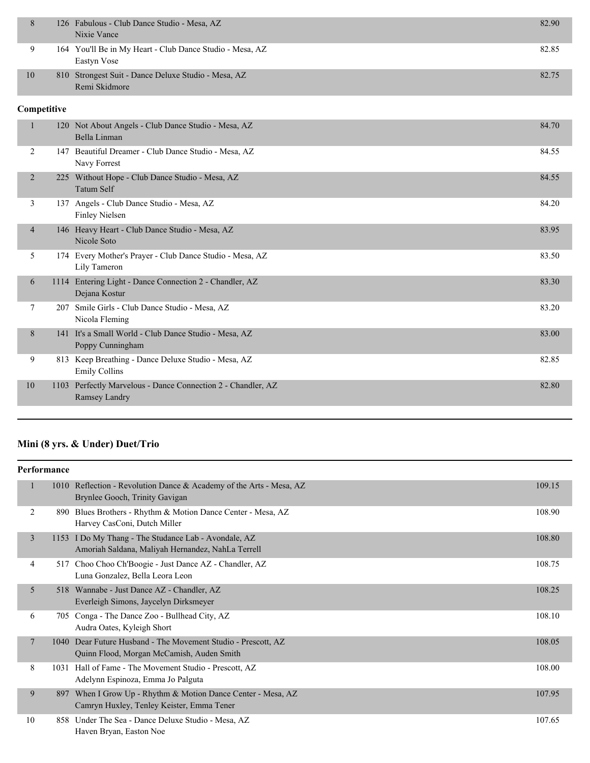|    | 126 Fabulous - Club Dance Studio - Mesa, AZ              | 82.90 |
|----|----------------------------------------------------------|-------|
|    | Nixie Vance                                              |       |
| 9  | 164 You'll Be in My Heart - Club Dance Studio - Mesa, AZ | 82.85 |
|    | Eastyn Vose                                              |       |
| 10 | 810 Strongest Suit - Dance Deluxe Studio - Mesa, AZ      | 82.75 |
|    | Remi Skidmore                                            |       |

### **Competitive**

|                |      | 120 Not About Angels - Club Dance Studio - Mesa, AZ<br>Bella Linman      | 84.70 |
|----------------|------|--------------------------------------------------------------------------|-------|
| 2              | 147  | Beautiful Dreamer - Club Dance Studio - Mesa, AZ<br>Navy Forrest         | 84.55 |
| $\overline{2}$ | 225  | Without Hope - Club Dance Studio - Mesa, AZ<br>Tatum Self                | 84.55 |
| 3              |      | 137 Angels - Club Dance Studio - Mesa, AZ<br>Finley Nielsen              | 84.20 |
| 4              | 146  | Heavy Heart - Club Dance Studio - Mesa, AZ<br>Nicole Soto                | 83.95 |
| 5.             |      | 174 Every Mother's Prayer - Club Dance Studio - Mesa, AZ<br>Lily Tameron | 83.50 |
| 6              | 1114 | Entering Light - Dance Connection 2 - Chandler, AZ<br>Dejana Kostur      | 83.30 |
| 7              | 207  | Smile Girls - Club Dance Studio - Mesa, AZ<br>Nicola Fleming             | 83.20 |
| 8              | 141  | It's a Small World - Club Dance Studio - Mesa, AZ<br>Poppy Cunningham    | 83.00 |
| 9              | 813  | Keep Breathing - Dance Deluxe Studio - Mesa, AZ<br><b>Emily Collins</b>  | 82.85 |
| 10             | 1103 | Perfectly Marvelous - Dance Connection 2 - Chandler, AZ<br>Ramsey Landry | 82.80 |

# **Mini (8 yrs. & Under) Duet/Trio**

|                | Performance |                                                                                                           |        |
|----------------|-------------|-----------------------------------------------------------------------------------------------------------|--------|
| 1              |             | 1010 Reflection - Revolution Dance & Academy of the Arts - Mesa, AZ<br>Brynlee Gooch, Trinity Gavigan     | 109.15 |
| 2              | 890         | Blues Brothers - Rhythm & Motion Dance Center - Mesa, AZ<br>Harvey CasConi, Dutch Miller                  | 108.90 |
| 3              |             | 1153 I Do My Thang - The Studance Lab - Avondale, AZ<br>Amoriah Saldana, Maliyah Hernandez, NahLa Terrell | 108.80 |
| 4              | 517         | Choo Choo Ch'Boogie - Just Dance AZ - Chandler, AZ<br>Luna Gonzalez, Bella Leora Leon                     | 108.75 |
| 5              |             | 518 Wannabe - Just Dance AZ - Chandler, AZ<br>Everleigh Simons, Jaycelyn Dirksmeyer                       | 108.25 |
| 6              | 705         | Conga - The Dance Zoo - Bullhead City, AZ<br>Audra Oates, Kyleigh Short                                   | 108.10 |
| $\overline{7}$ | 1040        | Dear Future Husband - The Movement Studio - Prescott, AZ<br>Quinn Flood, Morgan McCamish, Auden Smith     | 108.05 |
| 8              | 1031        | Hall of Fame - The Movement Studio - Prescott, AZ<br>Adelynn Espinoza, Emma Jo Palguta                    | 108.00 |
| 9              | 897         | When I Grow Up - Rhythm & Motion Dance Center - Mesa, AZ<br>Camryn Huxley, Tenley Keister, Emma Tener     | 107.95 |
| 10             | 858         | Under The Sea - Dance Deluxe Studio - Mesa, AZ<br>Haven Bryan, Easton Noe                                 | 107.65 |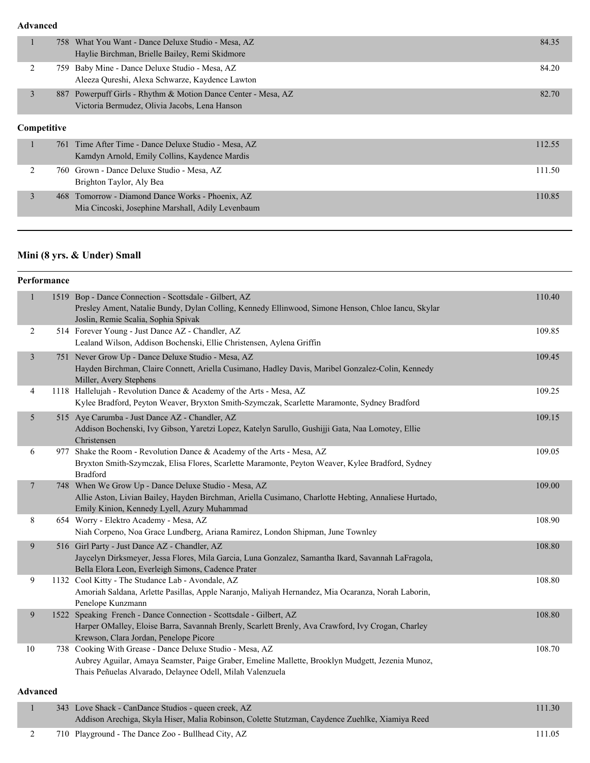|                    | 758 What You Want - Dance Deluxe Studio - Mesa, AZ            | 84.35  |
|--------------------|---------------------------------------------------------------|--------|
|                    | Haylie Birchman, Brielle Bailey, Remi Skidmore                |        |
| ↑                  | 759 Baby Mine - Dance Deluxe Studio - Mesa, AZ                | 84.20  |
|                    | Aleeza Qureshi, Alexa Schwarze, Kaydence Lawton               |        |
| 3                  | 887 Powerpuff Girls - Rhythm & Motion Dance Center - Mesa, AZ | 82.70  |
|                    | Victoria Bermudez, Olivia Jacobs, Lena Hanson                 |        |
|                    |                                                               |        |
| <b>Competitive</b> |                                                               |        |
|                    | 761 Time After Time - Dance Deluxe Studio - Mesa, AZ          | 112.55 |
|                    | Kamdyn Arnold, Emily Collins, Kaydence Mardis                 |        |
|                    | 760 Grown - Dance Deluxe Studio - Mesa, AZ                    | 111.50 |

| Brighton Taylor, Aly Bea                          |        |
|---------------------------------------------------|--------|
| 468 Tomorrow - Diamond Dance Works - Phoenix, AZ  | 110.85 |
| Mia Cincoski, Josephine Marshall, Adily Levenbaum |        |

#### **Mini (8 yrs. & Under) Small**

### **Performance** 1 1519 Bop - Dance Connection - Scottsdale - Gilbert, AZ 110.40 Presley Ament, Natalie Bundy, Dylan Colling, Kennedy Ellinwood, Simone Henson, Chloe Iancu, Skylar Joslin, Remie Scalia, Sophia Spivak 2 514 Forever Young - Just Dance AZ - Chandler, AZ 109.85 Lealand Wilson, Addison Bochenski, Ellie Christensen, Aylena Griffin 3 751 Never Grow Up - Dance Deluxe Studio - Mesa, AZ 109.45 Hayden Birchman, Claire Connett, Ariella Cusimano, Hadley Davis, Maribel Gonzalez-Colin, Kennedy Miller, Avery Stephens 4 1118 Hallelujah - Revolution Dance & Academy of the Arts - Mesa, AZ 109.25 Kylee Bradford, Peyton Weaver, Bryxton Smith-Szymczak, Scarlette Maramonte, Sydney Bradford 5 515 Aye Carumba - Just Dance AZ - Chandler, AZ 109.15 and the state of the state of the state of the state of the state of the state of the state of the state of the state of the state of the state of the state of the st Addison Bochenski, Ivy Gibson, Yaretzi Lopez, Katelyn Sarullo, Gushijji Gata, Naa Lomotey, Ellie Christensen 6 977 Shake the Room - Revolution Dance & Academy of the Arts - Mesa, AZ 109.05 Bryxton Smith-Szymczak, Elisa Flores, Scarlette Maramonte, Peyton Weaver, Kylee Bradford, Sydney Bradford 7 748 When We Grow Up - Dance Deluxe Studio - Mesa, AZ 109.00 Allie Aston, Livian Bailey, Hayden Birchman, Ariella Cusimano, Charlotte Hebting, Annaliese Hurtado, Emily Kinion, Kennedy Lyell, Azury Muhammad 8 654 Worry - Elektro Academy - Mesa, AZ 108.90 Niah Corpeno, Noa Grace Lundberg, Ariana Ramirez, London Shipman, June Townley 9 516 Girl Party - Just Dance AZ - Chandler, AZ 108.80 Jaycelyn Dirksmeyer, Jessa Flores, Mila Garcia, Luna Gonzalez, Samantha Ikard, Savannah LaFragola, Bella Elora Leon, Everleigh Simons, Cadence Prater 9 1132 Cool Kitty - The Studance Lab - Avondale, AZ 108.80 Amoriah Saldana, Arlette Pasillas, Apple Naranjo, Maliyah Hernandez, Mia Ocaranza, Norah Laborin, Penelope Kunzmann 9 1522 Speaking French - Dance Connection - Scottsdale - Gilbert, AZ 108.80 Harper OMalley, Eloise Barra, Savannah Brenly, Scarlett Brenly, Ava Crawford, Ivy Crogan, Charley Krewson, Clara Jordan, Penelope Picore 10 738 Cooking With Grease - Dance Deluxe Studio - Mesa, AZ 108.70 Aubrey Aguilar, Amaya Seamster, Paige Graber, Emeline Mallette, Brooklyn Mudgett, Jezenia Munoz, Thais Peñuelas Alvarado, Delaynee Odell, Milah Valenzuela **Advanced**

| 343 Love Shack - CanDance Studios - queen creek, AZ                                             | 111.30 |
|-------------------------------------------------------------------------------------------------|--------|
| Addison Arechiga, Skyla Hiser, Malia Robinson, Colette Stutzman, Caydence Zuehlke, Xiamiya Reed |        |
|                                                                                                 |        |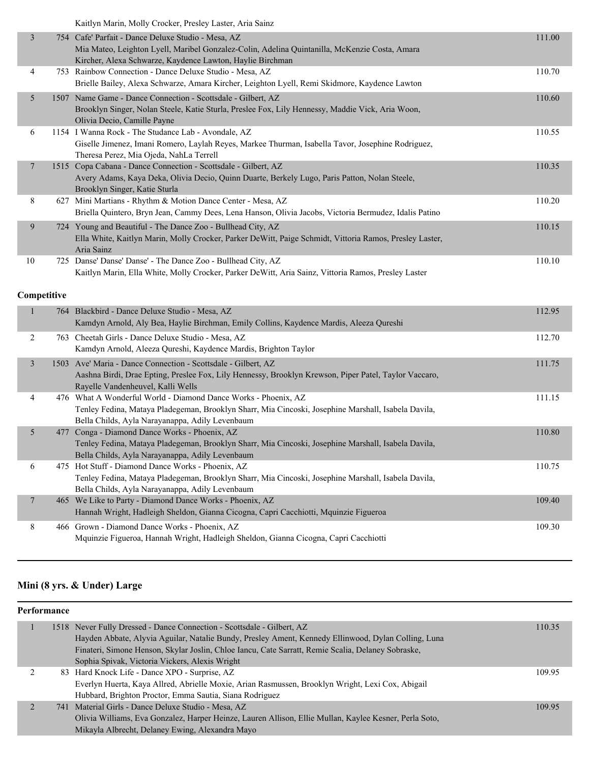| Kaitlyn Marin, Molly Crocker, Presley Laster, Aria Sainz |  |
|----------------------------------------------------------|--|
|----------------------------------------------------------|--|

| 3  |     | 754 Cafe' Parfait - Dance Deluxe Studio - Mesa, AZ<br>Mia Mateo, Leighton Lyell, Maribel Gonzalez-Colin, Adelina Quintanilla, McKenzie Costa, Amara<br>Kircher, Alexa Schwarze, Kaydence Lawton, Haylie Birchman | 111.00 |
|----|-----|------------------------------------------------------------------------------------------------------------------------------------------------------------------------------------------------------------------|--------|
| 4  |     | 753 Rainbow Connection - Dance Deluxe Studio - Mesa, AZ<br>Brielle Bailey, Alexa Schwarze, Amara Kircher, Leighton Lyell, Remi Skidmore, Kaydence Lawton                                                         | 110.70 |
| 5  |     | 1507 Name Game - Dance Connection - Scottsdale - Gilbert, AZ<br>Brooklyn Singer, Nolan Steele, Katie Sturla, Preslee Fox, Lily Hennessy, Maddie Vick, Aria Woon,<br>Olivia Decio, Camille Payne                  | 110.60 |
| 6  |     | 1154 I Wanna Rock - The Studance Lab - Avondale, AZ<br>Giselle Jimenez, Imani Romero, Laylah Reyes, Markee Thurman, Isabella Tavor, Josephine Rodriguez,<br>Theresa Perez, Mia Ojeda, NahLa Terrell              | 110.55 |
| 7  |     | 1515 Copa Cabana - Dance Connection - Scottsdale - Gilbert, AZ<br>Avery Adams, Kaya Deka, Olivia Decio, Quinn Duarte, Berkely Lugo, Paris Patton, Nolan Steele,<br>Brooklyn Singer, Katie Sturla                 | 110.35 |
| 8  |     | 627 Mini Martians - Rhythm & Motion Dance Center - Mesa, AZ<br>Briella Quintero, Bryn Jean, Cammy Dees, Lena Hanson, Olivia Jacobs, Victoria Bermudez, Idalis Patino                                             | 110.20 |
| 9  |     | 724 Young and Beautiful - The Dance Zoo - Bullhead City, AZ<br>Ella White, Kaitlyn Marin, Molly Crocker, Parker DeWitt, Paige Schmidt, Vittoria Ramos, Presley Laster,<br>Aria Sainz                             | 110.15 |
| 10 | 725 | Danse' Danse' Danse' - The Dance Zoo - Bullhead City, AZ<br>Kaitlyn Marin, Ella White, Molly Crocker, Parker DeWitt, Aria Sainz, Vittoria Ramos, Presley Laster                                                  | 110.10 |

### **Competitive**

|   |      | 764 Blackbird - Dance Deluxe Studio - Mesa, AZ<br>Kamdyn Arnold, Aly Bea, Haylie Birchman, Emily Collins, Kaydence Mardis, Aleeza Qureshi                                                                                | 112.95 |
|---|------|--------------------------------------------------------------------------------------------------------------------------------------------------------------------------------------------------------------------------|--------|
| 2 | 763. | Cheetah Girls - Dance Deluxe Studio - Mesa, AZ<br>Kamdyn Arnold, Aleeza Qureshi, Kaydence Mardis, Brighton Taylor                                                                                                        | 112.70 |
| 3 |      | 1503 Ave' Maria - Dance Connection - Scottsdale - Gilbert, AZ<br>Aashna Birdi, Drae Epting, Preslee Fox, Lily Hennessy, Brooklyn Krewson, Piper Patel, Taylor Vaccaro,<br>Rayelle Vandenheuvel, Kalli Wells              | 111.75 |
| 4 |      | 476 What A Wonderful World - Diamond Dance Works - Phoenix, AZ<br>Tenley Fedina, Mataya Pladegeman, Brooklyn Sharr, Mia Cincoski, Josephine Marshall, Isabela Davila,<br>Bella Childs, Ayla Narayanappa, Adily Levenbaum | 111.15 |
| 5 |      | 477 Conga - Diamond Dance Works - Phoenix, AZ<br>Tenley Fedina, Mataya Pladegeman, Brooklyn Sharr, Mia Cincoski, Josephine Marshall, Isabela Davila,<br>Bella Childs, Ayla Narayanappa, Adily Levenbaum                  | 110.80 |
| 6 | 475  | Hot Stuff - Diamond Dance Works - Phoenix, AZ<br>Tenley Fedina, Mataya Pladegeman, Brooklyn Sharr, Mia Cincoski, Josephine Marshall, Isabela Davila,<br>Bella Childs, Ayla Narayanappa, Adily Levenbaum                  | 110.75 |
| 7 |      | 465 We Like to Party - Diamond Dance Works - Phoenix, AZ<br>Hannah Wright, Hadleigh Sheldon, Gianna Cicogna, Capri Cacchiotti, Mquinzie Figueroa                                                                         | 109.40 |
| 8 |      | 466 Grown - Diamond Dance Works - Phoenix, AZ<br>Mquinzie Figueroa, Hannah Wright, Hadleigh Sheldon, Gianna Cicogna, Capri Cacchiotti                                                                                    | 109.30 |

# **Mini (8 yrs. & Under) Large**

| Performance |                                                                                                        |        |  |  |  |
|-------------|--------------------------------------------------------------------------------------------------------|--------|--|--|--|
|             | 1518 Never Fully Dressed - Dance Connection - Scottsdale - Gilbert, AZ                                 | 110.35 |  |  |  |
|             | Hayden Abbate, Alyvia Aguilar, Natalie Bundy, Presley Ament, Kennedy Ellinwood, Dylan Colling, Luna    |        |  |  |  |
|             | Finateri, Simone Henson, Skylar Joslin, Chloe Iancu, Cate Sarratt, Remie Scalia, Delaney Sobraske,     |        |  |  |  |
|             | Sophia Spivak, Victoria Vickers, Alexis Wright                                                         |        |  |  |  |
|             | 83 Hard Knock Life - Dance XPO - Surprise, AZ                                                          | 109.95 |  |  |  |
|             | Everlyn Huerta, Kaya Allred, Abrielle Moxie, Arian Rasmussen, Brooklyn Wright, Lexi Cox, Abigail       |        |  |  |  |
|             | Hubbard, Brighton Proctor, Emma Sautia, Siana Rodriguez                                                |        |  |  |  |
|             | 741 Material Girls - Dance Deluxe Studio - Mesa, AZ                                                    | 109.95 |  |  |  |
|             | Olivia Williams, Eva Gonzalez, Harper Heinze, Lauren Allison, Ellie Mullan, Kaylee Kesner, Perla Soto, |        |  |  |  |
|             | Mikayla Albrecht, Delaney Ewing, Alexandra Mayo                                                        |        |  |  |  |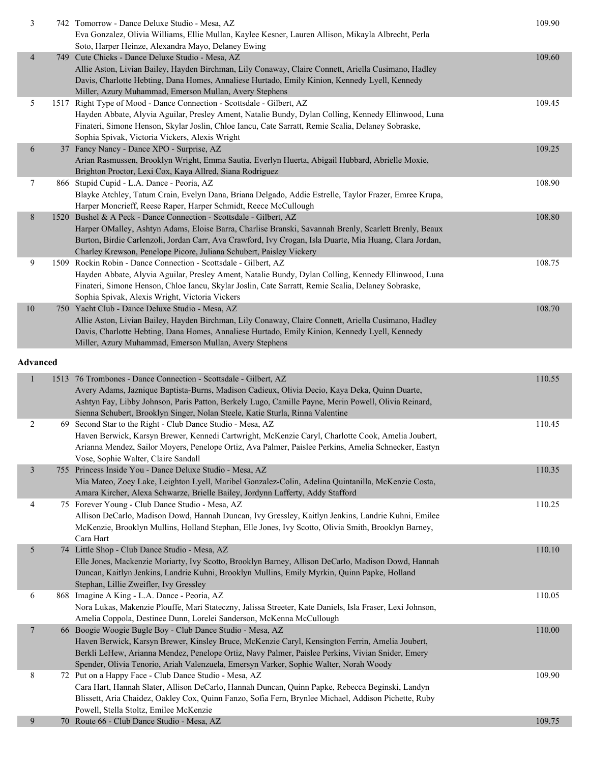| 3                       | 742 Tomorrow - Dance Deluxe Studio - Mesa, AZ                                                           | 109.90 |
|-------------------------|---------------------------------------------------------------------------------------------------------|--------|
|                         | Eva Gonzalez, Olivia Williams, Ellie Mullan, Kaylee Kesner, Lauren Allison, Mikayla Albrecht, Perla     |        |
|                         | Soto, Harper Heinze, Alexandra Mayo, Delaney Ewing                                                      |        |
| $\overline{4}$          | 749 Cute Chicks - Dance Deluxe Studio - Mesa, AZ                                                        | 109.60 |
|                         | Allie Aston, Livian Bailey, Hayden Birchman, Lily Conaway, Claire Connett, Ariella Cusimano, Hadley     |        |
|                         | Davis, Charlotte Hebting, Dana Homes, Annaliese Hurtado, Emily Kinion, Kennedy Lyell, Kennedy           |        |
|                         | Miller, Azury Muhammad, Emerson Mullan, Avery Stephens                                                  |        |
| 5                       | 1517 Right Type of Mood - Dance Connection - Scottsdale - Gilbert, AZ                                   | 109.45 |
|                         | Hayden Abbate, Alyvia Aguilar, Presley Ament, Natalie Bundy, Dylan Colling, Kennedy Ellinwood, Luna     |        |
|                         | Finateri, Simone Henson, Skylar Joslin, Chloe Iancu, Cate Sarratt, Remie Scalia, Delaney Sobraske,      |        |
|                         | Sophia Spivak, Victoria Vickers, Alexis Wright                                                          |        |
| 6                       | 37 Fancy Nancy - Dance XPO - Surprise, AZ                                                               | 109.25 |
|                         | Arian Rasmussen, Brooklyn Wright, Emma Sautia, Everlyn Huerta, Abigail Hubbard, Abrielle Moxie,         |        |
|                         | Brighton Proctor, Lexi Cox, Kaya Allred, Siana Rodriguez                                                |        |
| 7                       | 866 Stupid Cupid - L.A. Dance - Peoria, AZ                                                              | 108.90 |
|                         | Blayke Atchley, Tatum Crain, Evelyn Dana, Briana Delgado, Addie Estrelle, Taylor Frazer, Emree Krupa,   |        |
|                         | Harper Moncrieff, Reese Raper, Harper Schmidt, Reece McCullough                                         |        |
| 8                       | 1520 Bushel & A Peck - Dance Connection - Scottsdale - Gilbert, AZ                                      | 108.80 |
|                         | Harper OMalley, Ashtyn Adams, Eloise Barra, Charlise Branski, Savannah Brenly, Scarlett Brenly, Beaux   |        |
|                         | Burton, Birdie Carlenzoli, Jordan Carr, Ava Crawford, Ivy Crogan, Isla Duarte, Mia Huang, Clara Jordan, |        |
|                         | Charley Krewson, Penelope Picore, Juliana Schubert, Paisley Vickery                                     |        |
| 9                       | 1509 Rockin Robin - Dance Connection - Scottsdale - Gilbert, AZ                                         | 108.75 |
|                         | Hayden Abbate, Alyvia Aguilar, Presley Ament, Natalie Bundy, Dylan Colling, Kennedy Ellinwood, Luna     |        |
|                         | Finateri, Simone Henson, Chloe Iancu, Skylar Joslin, Cate Sarratt, Remie Scalia, Delaney Sobraske,      |        |
|                         | Sophia Spivak, Alexis Wright, Victoria Vickers                                                          |        |
| 10                      | 750 Yacht Club - Dance Deluxe Studio - Mesa, AZ                                                         | 108.70 |
|                         | Allie Aston, Livian Bailey, Hayden Birchman, Lily Conaway, Claire Connett, Ariella Cusimano, Hadley     |        |
|                         | Davis, Charlotte Hebting, Dana Homes, Annaliese Hurtado, Emily Kinion, Kennedy Lyell, Kennedy           |        |
|                         | Miller, Azury Muhammad, Emerson Mullan, Avery Stephens                                                  |        |
|                         |                                                                                                         |        |
| <b>Advanced</b>         |                                                                                                         |        |
| $\mathbf{1}$            | 1513 76 Trombones - Dance Connection - Scottsdale - Gilbert, AZ                                         | 110.55 |
|                         | Avery Adams, Jaznique Baptista-Burns, Madison Cadieux, Olivia Decio, Kaya Deka, Quinn Duarte,           |        |
|                         | Ashtyn Fay, Libby Johnson, Paris Patton, Berkely Lugo, Camille Payne, Merin Powell, Olivia Reinard,     |        |
|                         | Sienna Schubert, Brooklyn Singer, Nolan Steele, Katie Sturla, Rinna Valentine                           |        |
| 2                       | 69 Second Star to the Right - Club Dance Studio - Mesa, AZ                                              | 110.45 |
|                         | Haven Berwick, Karsyn Brewer, Kennedi Cartwright, McKenzie Caryl, Charlotte Cook, Amelia Joubert,       |        |
|                         | Arianna Mendez, Sailor Moyers, Penelope Ortiz, Ava Palmer, Paislee Perkins, Amelia Schnecker, Eastyn    |        |
|                         | Vose, Sophie Walter, Claire Sandall                                                                     |        |
| $\overline{\mathbf{3}}$ | 755 Princess Inside You - Dance Deluxe Studio - Mesa, AZ                                                | 110.35 |
|                         | Mia Mateo, Zoey Lake, Leighton Lyell, Maribel Gonzalez-Colin, Adelina Quintanilla, McKenzie Costa,      |        |
|                         | Amara Kircher, Alexa Schwarze, Brielle Bailey, Jordynn Lafferty, Addy Stafford                          |        |
| 4                       | 75 Forever Young - Club Dance Studio - Mesa, AZ                                                         | 110.25 |
|                         | Allison DeCarlo, Madison Dowd, Hannah Duncan, Ivy Gressley, Kaitlyn Jenkins, Landrie Kuhni, Emilee      |        |
|                         | McKenzie, Brooklyn Mullins, Holland Stephan, Elle Jones, Ivy Scotto, Olivia Smith, Brooklyn Barney,     |        |
|                         | Cara Hart                                                                                               |        |
| 5                       | 74 Little Shop - Club Dance Studio - Mesa, AZ                                                           | 110.10 |
|                         | Elle Jones, Mackenzie Moriarty, Ivy Scotto, Brooklyn Barney, Allison DeCarlo, Madison Dowd, Hannah      |        |
|                         | Duncan, Kaitlyn Jenkins, Landrie Kuhni, Brooklyn Mullins, Emily Myrkin, Quinn Papke, Holland            |        |
|                         |                                                                                                         |        |

| 6 | 868 Imagine A King - L.A. Dance - Peoria, AZ                                                             | 110.05 |
|---|----------------------------------------------------------------------------------------------------------|--------|
|   | Nora Lukas, Makenzie Plouffe, Mari Stateczny, Jalissa Streeter, Kate Daniels, Isla Fraser, Lexi Johnson, |        |
|   | Amelia Coppola, Destinee Dunn, Lorelei Sanderson, McKenna McCullough                                     |        |
| 7 | 66 Boogie Woogie Bugle Boy - Club Dance Studio - Mesa, AZ                                                | 110.00 |
|   | Haven Berwick, Karsyn Brewer, Kinsley Bruce, McKenzie Caryl, Kensington Ferrin, Amelia Joubert,          |        |
|   | Berkli LeHew, Arianna Mendez, Penelope Ortiz, Navy Palmer, Paislee Perkins, Vivian Snider, Emery         |        |
|   | Spender, Olivia Tenorio, Ariah Valenzuela, Emersyn Varker, Sophie Walter, Norah Woody                    |        |
| 8 | 72 Put on a Happy Face - Club Dance Studio - Mesa, AZ                                                    | 109.90 |
|   | Cara Hart, Hannah Slater, Allison DeCarlo, Hannah Duncan, Quinn Papke, Rebecca Beginski, Landyn          |        |
|   | Blissett, Aria Chaidez, Oakley Cox, Quinn Fanzo, Sofia Fern, Brynlee Michael, Addison Pichette, Ruby     |        |
|   | Powell, Stella Stoltz, Emilee McKenzie                                                                   |        |
| 9 | 70 Route 66 - Club Dance Studio - Mesa, AZ                                                               | 109.75 |
|   |                                                                                                          |        |

Stephan, Lillie Zweifler, Ivy Gressley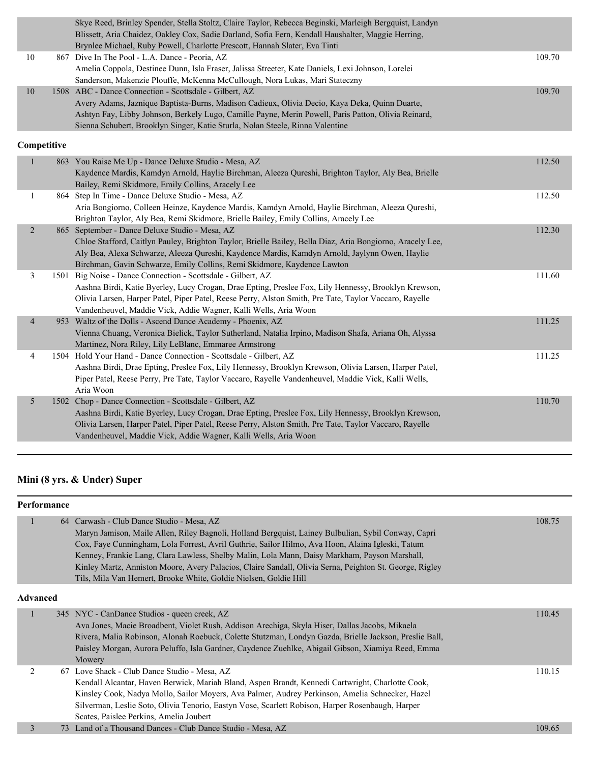|                | Skye Reed, Brinley Spender, Stella Stoltz, Claire Taylor, Rebecca Beginski, Marleigh Bergquist, Landyn<br>Blissett, Aria Chaidez, Oakley Cox, Sadie Darland, Sofia Fern, Kendall Haushalter, Maggie Herring,<br>Brynlee Michael, Ruby Powell, Charlotte Prescott, Hannah Slater, Eva Tinti |        |
|----------------|--------------------------------------------------------------------------------------------------------------------------------------------------------------------------------------------------------------------------------------------------------------------------------------------|--------|
| $10\,$         | 867 Dive In The Pool - L.A. Dance - Peoria, AZ                                                                                                                                                                                                                                             | 109.70 |
|                | Amelia Coppola, Destinee Dunn, Isla Fraser, Jalissa Streeter, Kate Daniels, Lexi Johnson, Lorelei<br>Sanderson, Makenzie Plouffe, McKenna McCullough, Nora Lukas, Mari Stateczny                                                                                                           |        |
| $10\,$         | 1508 ABC - Dance Connection - Scottsdale - Gilbert, AZ                                                                                                                                                                                                                                     | 109.70 |
|                | Avery Adams, Jaznique Baptista-Burns, Madison Cadieux, Olivia Decio, Kaya Deka, Quinn Duarte,                                                                                                                                                                                              |        |
|                | Ashtyn Fay, Libby Johnson, Berkely Lugo, Camille Payne, Merin Powell, Paris Patton, Olivia Reinard,                                                                                                                                                                                        |        |
|                | Sienna Schubert, Brooklyn Singer, Katie Sturla, Nolan Steele, Rinna Valentine                                                                                                                                                                                                              |        |
| Competitive    |                                                                                                                                                                                                                                                                                            |        |
| $\mathbf{1}$   | 863 You Raise Me Up - Dance Deluxe Studio - Mesa, AZ                                                                                                                                                                                                                                       | 112.50 |
|                | Kaydence Mardis, Kamdyn Arnold, Haylie Birchman, Aleeza Qureshi, Brighton Taylor, Aly Bea, Brielle                                                                                                                                                                                         |        |
|                | Bailey, Remi Skidmore, Emily Collins, Aracely Lee                                                                                                                                                                                                                                          |        |
| $\mathbf{1}$   | 864 Step In Time - Dance Deluxe Studio - Mesa, AZ                                                                                                                                                                                                                                          | 112.50 |
|                | Aria Bongiorno, Colleen Heinze, Kaydence Mardis, Kamdyn Arnold, Haylie Birchman, Aleeza Qureshi,                                                                                                                                                                                           |        |
|                | Brighton Taylor, Aly Bea, Remi Skidmore, Brielle Bailey, Emily Collins, Aracely Lee                                                                                                                                                                                                        |        |
| $\overline{2}$ | 865 September - Dance Deluxe Studio - Mesa, AZ                                                                                                                                                                                                                                             | 112.30 |
|                | Chloe Stafford, Caitlyn Pauley, Brighton Taylor, Brielle Bailey, Bella Diaz, Aria Bongiorno, Aracely Lee,<br>Aly Bea, Alexa Schwarze, Aleeza Qureshi, Kaydence Mardis, Kamdyn Arnold, Jaylynn Owen, Haylie                                                                                 |        |
|                | Birchman, Gavin Schwarze, Emily Collins, Remi Skidmore, Kaydence Lawton                                                                                                                                                                                                                    |        |
| 3              | 1501 Big Noise - Dance Connection - Scottsdale - Gilbert, AZ                                                                                                                                                                                                                               | 111.60 |
|                | Aashna Birdi, Katie Byerley, Lucy Crogan, Drae Epting, Preslee Fox, Lily Hennessy, Brooklyn Krewson,                                                                                                                                                                                       |        |
|                | Olivia Larsen, Harper Patel, Piper Patel, Reese Perry, Alston Smith, Pre Tate, Taylor Vaccaro, Rayelle                                                                                                                                                                                     |        |
|                | Vandenheuvel, Maddie Vick, Addie Wagner, Kalli Wells, Aria Woon                                                                                                                                                                                                                            |        |
| $\overline{4}$ | 953 Waltz of the Dolls - Ascend Dance Academy - Phoenix, AZ                                                                                                                                                                                                                                | 111.25 |
|                | Vienna Chuang, Veronica Bielick, Taylor Sutherland, Natalia Irpino, Madison Shafa, Ariana Oh, Alyssa                                                                                                                                                                                       |        |
|                | Martinez, Nora Riley, Lily LeBlanc, Emmaree Armstrong                                                                                                                                                                                                                                      |        |
| 4              | 1504 Hold Your Hand - Dance Connection - Scottsdale - Gilbert, AZ                                                                                                                                                                                                                          | 111.25 |
|                | Aashna Birdi, Drae Epting, Preslee Fox, Lily Hennessy, Brooklyn Krewson, Olivia Larsen, Harper Patel,                                                                                                                                                                                      |        |
|                | Piper Patel, Reese Perry, Pre Tate, Taylor Vaccaro, Rayelle Vandenheuvel, Maddie Vick, Kalli Wells,                                                                                                                                                                                        |        |
|                | Aria Woon                                                                                                                                                                                                                                                                                  |        |
| 5              | 1502 Chop - Dance Connection - Scottsdale - Gilbert, AZ                                                                                                                                                                                                                                    | 110.70 |
|                | Aashna Birdi, Katie Byerley, Lucy Crogan, Drae Epting, Preslee Fox, Lily Hennessy, Brooklyn Krewson,                                                                                                                                                                                       |        |
|                | Olivia Larsen, Harper Patel, Piper Patel, Reese Perry, Alston Smith, Pre Tate, Taylor Vaccaro, Rayelle                                                                                                                                                                                     |        |
|                | Vandenheuvel, Maddie Vick, Addie Wagner, Kalli Wells, Aria Woon                                                                                                                                                                                                                            |        |

# **Mini (8 yrs. & Under) Super**

| Performance     |    |                                                                                                                                                                                                                                                                                                                                                                                                                                                                                                                                      |        |
|-----------------|----|--------------------------------------------------------------------------------------------------------------------------------------------------------------------------------------------------------------------------------------------------------------------------------------------------------------------------------------------------------------------------------------------------------------------------------------------------------------------------------------------------------------------------------------|--------|
|                 |    | 64 Carwash - Club Dance Studio - Mesa, AZ<br>Maryn Jamison, Maile Allen, Riley Bagnoli, Holland Bergquist, Lainey Bulbulian, Sybil Conway, Capri<br>Cox, Faye Cunningham, Lola Forrest, Avril Guthrie, Sailor Hilmo, Ava Hoon, Alaina Igleski, Tatum<br>Kenney, Frankie Lang, Clara Lawless, Shelby Malin, Lola Mann, Daisy Markham, Payson Marshall,<br>Kinley Martz, Anniston Moore, Avery Palacios, Claire Sandall, Olivia Serna, Peighton St. George, Rigley<br>Tils, Mila Van Hemert, Brooke White, Goldie Nielsen, Goldie Hill | 108.75 |
| <b>Advanced</b> |    |                                                                                                                                                                                                                                                                                                                                                                                                                                                                                                                                      |        |
|                 |    | 345 NYC - CanDance Studios - queen creek, AZ<br>Ava Jones, Macie Broadbent, Violet Rush, Addison Arechiga, Skyla Hiser, Dallas Jacobs, Mikaela<br>Rivera, Malia Robinson, Alonah Roebuck, Colette Stutzman, Londyn Gazda, Brielle Jackson, Preslie Ball,<br>Paisley Morgan, Aurora Peluffo, Isla Gardner, Caydence Zuehlke, Abigail Gibson, Xiamiya Reed, Emma<br>Mowery                                                                                                                                                             | 110.45 |
| 2               |    | 67 Love Shack - Club Dance Studio - Mesa, AZ<br>Kendall Alcantar, Haven Berwick, Mariah Bland, Aspen Brandt, Kennedi Cartwright, Charlotte Cook,<br>Kinsley Cook, Nadya Mollo, Sailor Moyers, Ava Palmer, Audrey Perkinson, Amelia Schnecker, Hazel<br>Silverman, Leslie Soto, Olivia Tenorio, Eastyn Vose, Scarlett Robison, Harper Rosenbaugh, Harper<br>Scates, Paislee Perkins, Amelia Joubert                                                                                                                                   | 110.15 |
| 3               | 73 | Land of a Thousand Dances - Club Dance Studio - Mesa, AZ                                                                                                                                                                                                                                                                                                                                                                                                                                                                             | 109.65 |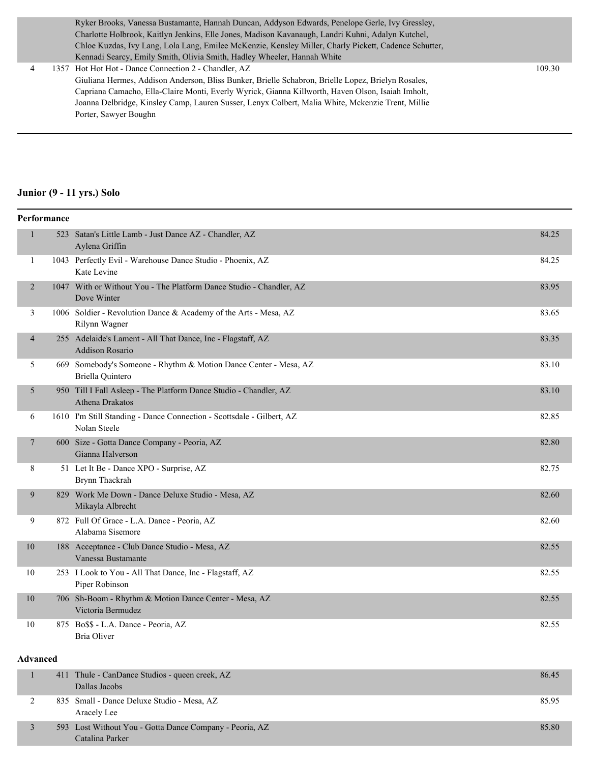Ryker Brooks, Vanessa Bustamante, Hannah Duncan, Addyson Edwards, Penelope Gerle, Ivy Gressley, Charlotte Holbrook, Kaitlyn Jenkins, Elle Jones, Madison Kavanaugh, Landri Kuhni, Adalyn Kutchel, Chloe Kuzdas, Ivy Lang, Lola Lang, Emilee McKenzie, Kensley Miller, Charly Pickett, Cadence Schutter, Kennadi Searcy, Emily Smith, Olivia Smith, Hadley Wheeler, Hannah White

 4 1357 Hot Hot Hot - Dance Connection 2 - Chandler, AZ 109.30 Giuliana Hermes, Addison Anderson, Bliss Bunker, Brielle Schabron, Brielle Lopez, Brielyn Rosales, Capriana Camacho, Ella-Claire Monti, Everly Wyrick, Gianna Killworth, Haven Olson, Isaiah Imholt, Joanna Delbridge, Kinsley Camp, Lauren Susser, Lenyx Colbert, Malia White, Mckenzie Trent, Millie Porter, Sawyer Boughn

#### **Junior (9 - 11 yrs.) Solo**

|                | Performance |                                                                                             |       |
|----------------|-------------|---------------------------------------------------------------------------------------------|-------|
| $\mathbf{1}$   |             | 523 Satan's Little Lamb - Just Dance AZ - Chandler, AZ<br>Aylena Griffin                    | 84.25 |
| $\mathbf{1}$   |             | 1043 Perfectly Evil - Warehouse Dance Studio - Phoenix, AZ<br>Kate Levine                   | 84.25 |
| 2              |             | 1047 With or Without You - The Platform Dance Studio - Chandler, AZ<br>Dove Winter          | 83.95 |
| 3              |             | 1006 Soldier - Revolution Dance & Academy of the Arts - Mesa, AZ<br>Rilynn Wagner           | 83.65 |
| $\overline{4}$ |             | 255 Adelaide's Lament - All That Dance, Inc - Flagstaff, AZ<br><b>Addison Rosario</b>       | 83.35 |
| 5              |             | 669 Somebody's Someone - Rhythm & Motion Dance Center - Mesa, AZ<br><b>Briella Quintero</b> | 83.10 |
| 5              |             | 950 Till I Fall Asleep - The Platform Dance Studio - Chandler, AZ<br><b>Athena Drakatos</b> | 83.10 |
| 6              |             | 1610 I'm Still Standing - Dance Connection - Scottsdale - Gilbert, AZ<br>Nolan Steele       | 82.85 |
| 7              |             | 600 Size - Gotta Dance Company - Peoria, AZ<br>Gianna Halverson                             | 82.80 |
| 8              |             | 51 Let It Be - Dance XPO - Surprise, AZ<br>Brynn Thackrah                                   | 82.75 |
| 9              |             | 829 Work Me Down - Dance Deluxe Studio - Mesa, AZ<br>Mikayla Albrecht                       | 82.60 |
| 9              |             | 872 Full Of Grace - L.A. Dance - Peoria, AZ<br>Alabama Sisemore                             | 82.60 |
| 10             |             | 188 Acceptance - Club Dance Studio - Mesa, AZ<br>Vanessa Bustamante                         | 82.55 |
| 10             |             | 253 I Look to You - All That Dance, Inc - Flagstaff, AZ<br>Piper Robinson                   | 82.55 |
| 10             |             | 706 Sh-Boom - Rhythm & Motion Dance Center - Mesa, AZ<br>Victoria Bermudez                  | 82.55 |
| 10             |             | 875 Bo\$\$ - L.A. Dance - Peoria, AZ<br><b>Bria Oliver</b>                                  | 82.55 |

#### **Advanced**

| 411 Thule - CanDance Studios - queen creek, AZ<br>Dallas Jacobs            | 86.45 |
|----------------------------------------------------------------------------|-------|
| 835 Small - Dance Deluxe Studio - Mesa, AZ<br>Aracely Lee                  | 85.95 |
| 593 Lost Without You - Gotta Dance Company - Peoria, AZ<br>Catalina Parker | 85.80 |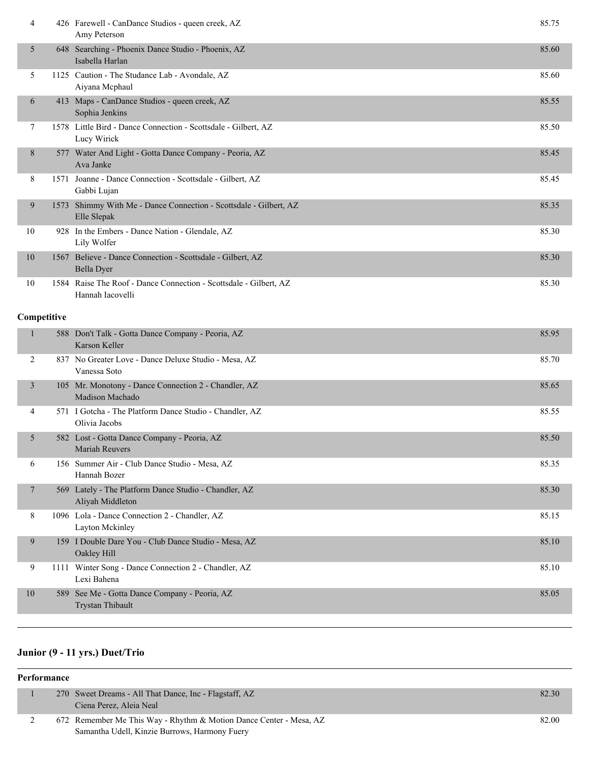| 4  |      | 426 Farewell - CanDance Studios - queen creek, AZ<br>Amy Peterson                | 85.75 |
|----|------|----------------------------------------------------------------------------------|-------|
| 5  |      | 648 Searching - Phoenix Dance Studio - Phoenix, AZ<br>Isabella Harlan            | 85.60 |
| 5  |      | 1125 Caution - The Studance Lab - Avondale, AZ<br>Aiyana Mephaul                 | 85.60 |
| 6  |      | 413 Maps - CanDance Studios - queen creek, AZ<br>Sophia Jenkins                  | 85.55 |
| 7  |      | 1578 Little Bird - Dance Connection - Scottsdale - Gilbert, AZ<br>Lucy Wirick    | 85.50 |
| 8  |      | 577 Water And Light - Gotta Dance Company - Peoria, AZ<br>Ava Janke              | 85.45 |
| 8  | 1571 | Joanne - Dance Connection - Scottsdale - Gilbert, AZ<br>Gabbi Lujan              | 85.45 |
| 9  | 1573 | Shimmy With Me - Dance Connection - Scottsdale - Gilbert, AZ<br>Elle Slepak      | 85.35 |
| 10 | 928  | In the Embers - Dance Nation - Glendale, AZ<br>Lily Wolfer                       | 85.30 |
| 10 | 1567 | Believe - Dance Connection - Scottsdale - Gilbert, AZ<br>Bella Dyer              | 85.30 |
| 10 | 1584 | Raise The Roof - Dance Connection - Scottsdale - Gilbert, AZ<br>Hannah Iacovelli | 85.30 |

### **Competitive**

|                |      | 588 Don't Talk - Gotta Dance Company - Peoria, AZ<br>Karson Keller        | 85.95 |
|----------------|------|---------------------------------------------------------------------------|-------|
| 2              |      | 837 No Greater Love - Dance Deluxe Studio - Mesa, AZ<br>Vanessa Soto      | 85.70 |
| $\overline{3}$ | 105  | Mr. Monotony - Dance Connection 2 - Chandler, AZ<br>Madison Machado       | 85.65 |
| 4              |      | 571 I Gotcha - The Platform Dance Studio - Chandler, AZ<br>Olivia Jacobs  | 85.55 |
| 5              |      | 582 Lost - Gotta Dance Company - Peoria, AZ<br>Mariah Reuvers             | 85.50 |
| 6              |      | 156 Summer Air - Club Dance Studio - Mesa, AZ<br>Hannah Bozer             | 85.35 |
| $\overline{7}$ |      | 569 Lately - The Platform Dance Studio - Chandler, AZ<br>Aliyah Middleton | 85.30 |
| 8              |      | 1096 Lola - Dance Connection 2 - Chandler, AZ<br>Layton Mckinley          | 85.15 |
| 9              |      | 159 I Double Dare You - Club Dance Studio - Mesa, AZ<br>Oakley Hill       | 85.10 |
| 9              | 1111 | Winter Song - Dance Connection 2 - Chandler, AZ<br>Lexi Bahena            | 85.10 |
| 10             | 589  | See Me - Gotta Dance Company - Peoria, AZ<br><b>Trystan Thibault</b>      | 85.05 |

# **Junior (9 - 11 yrs.) Duet/Trio**

| Performance |  |                                                                                                                     |       |
|-------------|--|---------------------------------------------------------------------------------------------------------------------|-------|
|             |  | 270 Sweet Dreams - All That Dance, Inc - Flagstaff, AZ<br>Ciena Perez, Aleia Neal                                   | 82.30 |
|             |  | 672 Remember Me This Way - Rhythm & Motion Dance Center - Mesa, AZ<br>Samantha Udell, Kinzie Burrows, Harmony Fuery | 82.00 |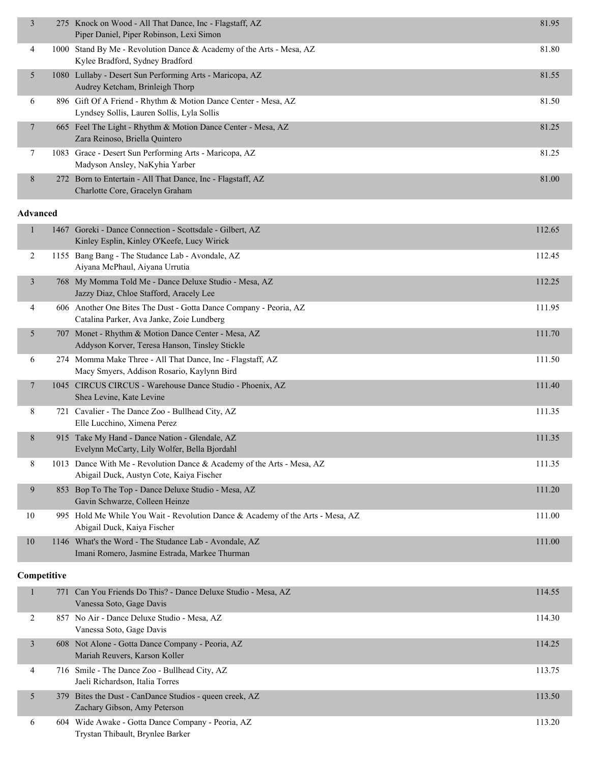| 3 | 275 Knock on Wood - All That Dance, Inc - Flagstaff, AZ<br>Piper Daniel, Piper Robinson, Lexi Simon          | 81.95 |
|---|--------------------------------------------------------------------------------------------------------------|-------|
| 4 | 1000 Stand By Me - Revolution Dance & Academy of the Arts - Mesa, AZ<br>Kylee Bradford, Sydney Bradford      | 81.80 |
| 5 | 1080 Lullaby - Desert Sun Performing Arts - Maricopa, AZ<br>Audrey Ketcham, Brinleigh Thorp                  | 81.55 |
| 6 | 896 Gift Of A Friend - Rhythm & Motion Dance Center - Mesa, AZ<br>Lyndsey Sollis, Lauren Sollis, Lyla Sollis | 81.50 |
| 7 | 665 Feel The Light - Rhythm & Motion Dance Center - Mesa, AZ<br>Zara Reinoso, Briella Quintero               | 81.25 |
|   | 1083 Grace - Desert Sun Performing Arts - Maricopa, AZ<br>Madyson Ansley, NaKyhia Yarber                     | 81.25 |
| 8 | 272 Born to Entertain - All That Dance, Inc - Flagstaff, AZ<br>Charlotte Core, Gracelyn Graham               | 81.00 |
|   |                                                                                                              |       |

|                | 1467 | Goreki - Dance Connection - Scottsdale - Gilbert, AZ<br>Kinley Esplin, Kinley O'Keefe, Lucy Wirick             | 112.65 |
|----------------|------|----------------------------------------------------------------------------------------------------------------|--------|
| 2              |      | 1155 Bang Bang - The Studance Lab - Avondale, AZ<br>Aiyana McPhaul, Aiyana Urrutia                             | 112.45 |
| $\overline{3}$ |      | 768 My Momma Told Me - Dance Deluxe Studio - Mesa, AZ<br>Jazzy Diaz, Chloe Stafford, Aracely Lee               | 112.25 |
| 4              |      | 606 Another One Bites The Dust - Gotta Dance Company - Peoria, AZ<br>Catalina Parker, Ava Janke, Zoie Lundberg | 111.95 |
| 5              |      | 707 Monet - Rhythm & Motion Dance Center - Mesa, AZ<br>Addyson Korver, Teresa Hanson, Tinsley Stickle          | 111.70 |
| 6              |      | 274 Momma Make Three - All That Dance, Inc - Flagstaff, AZ<br>Macy Smyers, Addison Rosario, Kaylynn Bird       | 111.50 |
| $\tau$         | 1045 | CIRCUS CIRCUS - Warehouse Dance Studio - Phoenix, AZ<br>Shea Levine, Kate Levine                               | 111.40 |
| 8              | 721  | Cavalier - The Dance Zoo - Bullhead City, AZ<br>Elle Lucchino, Ximena Perez                                    | 111.35 |
| 8              |      | 915 Take My Hand - Dance Nation - Glendale, AZ<br>Evelynn McCarty, Lily Wolfer, Bella Bjordahl                 | 111.35 |
| 8              | 1013 | Dance With Me - Revolution Dance & Academy of the Arts - Mesa, AZ<br>Abigail Duck, Austyn Cote, Kaiya Fischer  | 111.35 |
| 9              | 853  | Bop To The Top - Dance Deluxe Studio - Mesa, AZ<br>Gavin Schwarze, Colleen Heinze                              | 111.20 |
| 10             |      | 995 Hold Me While You Wait - Revolution Dance & Academy of the Arts - Mesa, AZ<br>Abigail Duck, Kaiya Fischer  | 111.00 |
| 10             |      | 1146 What's the Word - The Studance Lab - Avondale, AZ<br>Imani Romero, Jasmine Estrada, Markee Thurman        | 111.00 |

### **Competitive**

|   | 771 Can You Friends Do This? - Dance Deluxe Studio - Mesa, AZ<br>Vanessa Soto, Gage Davis | 114.55 |
|---|-------------------------------------------------------------------------------------------|--------|
|   | 857 No Air - Dance Deluxe Studio - Mesa, AZ<br>Vanessa Soto, Gage Davis                   | 114.30 |
| 3 | 608 Not Alone - Gotta Dance Company - Peoria, AZ<br>Mariah Reuvers, Karson Koller         | 114.25 |
| 4 | 716 Smile - The Dance Zoo - Bullhead City, AZ<br>Jaeli Richardson, Italia Torres          | 113.75 |
| 5 | 379 Bites the Dust - CanDance Studios - queen creek, AZ<br>Zachary Gibson, Amy Peterson   | 113.50 |
| 6 | 604 Wide Awake - Gotta Dance Company - Peoria, AZ<br>Trystan Thibault, Brynlee Barker     | 113.20 |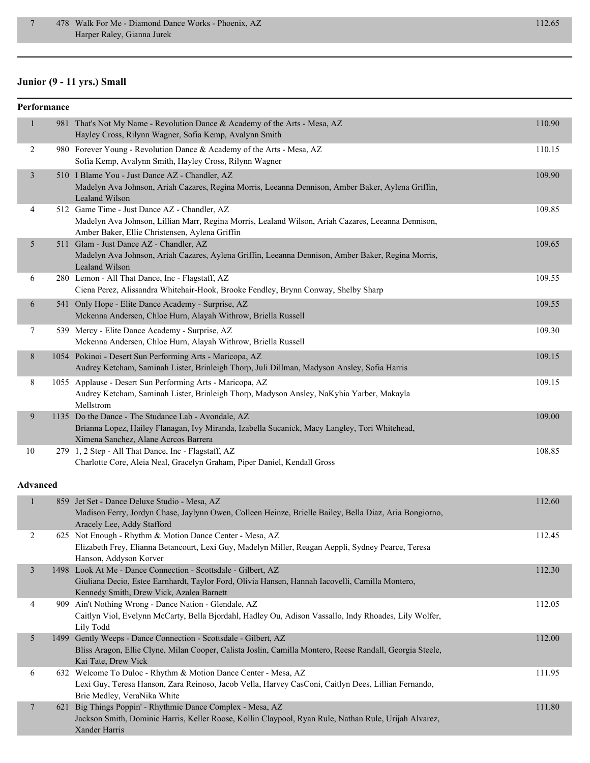# **Junior (9 - 11 yrs.) Small**

|                 | Performance |                                                                                                                                                                                                              |        |
|-----------------|-------------|--------------------------------------------------------------------------------------------------------------------------------------------------------------------------------------------------------------|--------|
| $\mathbf{1}$    |             | 981 That's Not My Name - Revolution Dance & Academy of the Arts - Mesa, AZ<br>Hayley Cross, Rilynn Wagner, Sofia Kemp, Avalynn Smith                                                                         | 110.90 |
| $\overline{c}$  |             | 980 Forever Young - Revolution Dance & Academy of the Arts - Mesa, AZ<br>Sofia Kemp, Avalynn Smith, Hayley Cross, Rilynn Wagner                                                                              | 110.15 |
| $\mathfrak{Z}$  |             | 510 I Blame You - Just Dance AZ - Chandler, AZ<br>Madelyn Ava Johnson, Ariah Cazares, Regina Morris, Leeanna Dennison, Amber Baker, Aylena Griffin,<br>Lealand Wilson                                        | 109.90 |
| 4               |             | 512 Game Time - Just Dance AZ - Chandler, AZ<br>Madelyn Ava Johnson, Lillian Marr, Regina Morris, Lealand Wilson, Ariah Cazares, Leeanna Dennison,<br>Amber Baker, Ellie Christensen, Aylena Griffin         | 109.85 |
| 5               |             | 511 Glam - Just Dance AZ - Chandler, AZ<br>Madelyn Ava Johnson, Ariah Cazares, Aylena Griffin, Leeanna Dennison, Amber Baker, Regina Morris,<br>Lealand Wilson                                               | 109.65 |
| 6               |             | 280 Lemon - All That Dance, Inc - Flagstaff, AZ<br>Ciena Perez, Alissandra Whitehair-Hook, Brooke Fendley, Brynn Conway, Shelby Sharp                                                                        | 109.55 |
| 6               |             | 541 Only Hope - Elite Dance Academy - Surprise, AZ<br>Mckenna Andersen, Chloe Hurn, Alayah Withrow, Briella Russell                                                                                          | 109.55 |
| $\tau$          |             | 539 Mercy - Elite Dance Academy - Surprise, AZ<br>Mckenna Andersen, Chloe Hurn, Alayah Withrow, Briella Russell                                                                                              | 109.30 |
| 8               |             | 1054 Pokinoi - Desert Sun Performing Arts - Maricopa, AZ<br>Audrey Ketcham, Saminah Lister, Brinleigh Thorp, Juli Dillman, Madyson Ansley, Sofia Harris                                                      | 109.15 |
| 8               |             | 1055 Applause - Desert Sun Performing Arts - Maricopa, AZ<br>Audrey Ketcham, Saminah Lister, Brinleigh Thorp, Madyson Ansley, NaKyhia Yarber, Makayla<br>Mellstrom                                           | 109.15 |
| 9               |             | 1135 Do the Dance - The Studance Lab - Avondale, AZ<br>Brianna Lopez, Hailey Flanagan, Ivy Miranda, Izabella Sucanick, Macy Langley, Tori Whitehead,<br>Ximena Sanchez, Alane Acreos Barrera                 | 109.00 |
| 10              |             | 279 1, 2 Step - All That Dance, Inc - Flagstaff, AZ<br>Charlotte Core, Aleia Neal, Gracelyn Graham, Piper Daniel, Kendall Gross                                                                              | 108.85 |
| <b>Advanced</b> |             |                                                                                                                                                                                                              |        |
| $\mathbf{1}$    |             | 859 Jet Set - Dance Deluxe Studio - Mesa, AZ<br>Madison Ferry, Jordyn Chase, Jaylynn Owen, Colleen Heinze, Brielle Bailey, Bella Diaz, Aria Bongiorno,<br>Aracely Lee, Addy Stafford                         | 112.60 |
| 2               |             | 625 Not Enough - Rhythm & Motion Dance Center - Mesa, AZ<br>Elizabeth Frey, Elianna Betancourt, Lexi Guy, Madelyn Miller, Reagan Aeppli, Sydney Pearce, Teresa<br>Hanson, Addyson Korver                     | 112.45 |
| $\mathfrak{Z}$  |             | 1498 Look At Me - Dance Connection - Scottsdale - Gilbert, AZ<br>Giuliana Decio, Estee Earnhardt, Taylor Ford, Olivia Hansen, Hannah Iacovelli, Camilla Montero,<br>Kennedy Smith, Drew Vick, Azalea Barnett | 112.30 |
| 4               |             | 909 Ain't Nothing Wrong - Dance Nation - Glendale, AZ<br>Caitlyn Viol, Evelynn McCarty, Bella Bjordahl, Hadley Ou, Adison Vassallo, Indy Rhoades, Lily Wolfer,<br>Lily Todd                                  | 112.05 |
| 5               |             | 1499 Gently Weeps - Dance Connection - Scottsdale - Gilbert, AZ<br>Bliss Aragon, Ellie Clyne, Milan Cooper, Calista Joslin, Camilla Montero, Reese Randall, Georgia Steele,<br>Kai Tate, Drew Vick           | 112.00 |
| 6               |             | 632 Welcome To Duloc - Rhythm & Motion Dance Center - Mesa, AZ<br>Lexi Guy, Teresa Hanson, Zara Reinoso, Jacob Vella, Harvey CasConi, Caitlyn Dees, Lillian Fernando,<br>Brie Medley, VeraNika White         | 111.95 |
| $\overline{7}$  |             | 621 Big Things Poppin' - Rhythmic Dance Complex - Mesa, AZ<br>Jackson Smith, Dominic Harris, Keller Roose, Kollin Claypool, Ryan Rule, Nathan Rule, Urijah Alvarez,<br>Xander Harris                         | 111.80 |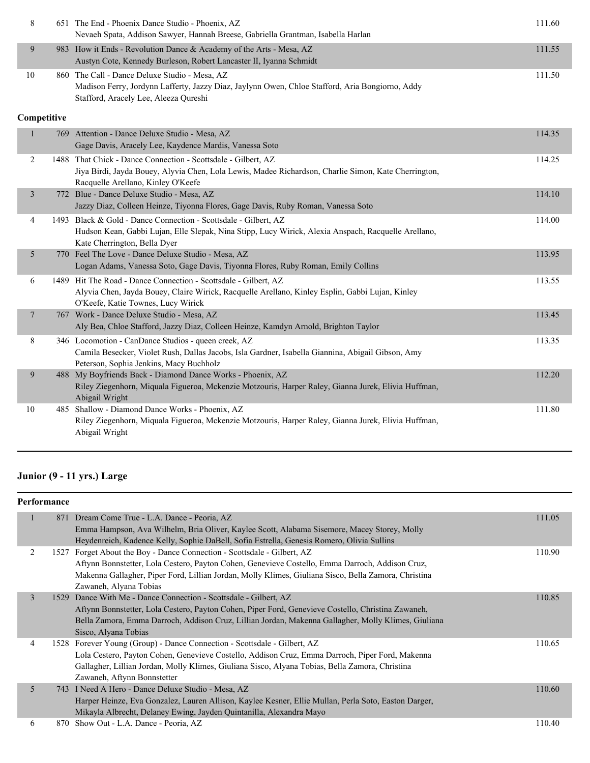| $\,8\,$        |             | 651 The End - Phoenix Dance Studio - Phoenix, AZ<br>Nevaeh Spata, Addison Sawyer, Hannah Breese, Gabriella Grantman, Isabella Harlan                                                                        | 111.60 |
|----------------|-------------|-------------------------------------------------------------------------------------------------------------------------------------------------------------------------------------------------------------|--------|
| 9              |             | 983 How it Ends - Revolution Dance & Academy of the Arts - Mesa, AZ<br>Austyn Cote, Kennedy Burleson, Robert Lancaster II, Iyanna Schmidt                                                                   | 111.55 |
| 10             |             | 860 The Call - Dance Deluxe Studio - Mesa, AZ<br>Madison Ferry, Jordynn Lafferty, Jazzy Diaz, Jaylynn Owen, Chloe Stafford, Aria Bongiorno, Addy<br>Stafford, Aracely Lee, Aleeza Qureshi                   | 111.50 |
|                | Competitive |                                                                                                                                                                                                             |        |
|                |             | 769 Attention - Dance Deluxe Studio - Mesa, AZ<br>Gage Davis, Aracely Lee, Kaydence Mardis, Vanessa Soto                                                                                                    | 114.35 |
| $\overline{2}$ |             | 1488 That Chick - Dance Connection - Scottsdale - Gilbert, AZ<br>Jiya Birdi, Jayda Bouey, Alyvia Chen, Lola Lewis, Madee Richardson, Charlie Simon, Kate Cherrington,<br>Racquelle Arellano, Kinley O'Keefe | 114.25 |
| $\overline{3}$ |             | 772 Blue - Dance Deluxe Studio - Mesa, AZ<br>Jazzy Diaz, Colleen Heinze, Tiyonna Flores, Gage Davis, Ruby Roman, Vanessa Soto                                                                               | 114.10 |
| 4              |             | 1493 Black & Gold - Dance Connection - Scottsdale - Gilbert, AZ<br>Hudson Kean, Gabbi Lujan, Elle Slepak, Nina Stipp, Lucy Wirick, Alexia Anspach, Racquelle Arellano,<br>Kate Cherrington, Bella Dyer      | 114.00 |
| 5              |             | 770 Feel The Love - Dance Deluxe Studio - Mesa, AZ<br>Logan Adams, Vanessa Soto, Gage Davis, Tiyonna Flores, Ruby Roman, Emily Collins                                                                      | 113.95 |
| 6              |             | 1489 Hit The Road - Dance Connection - Scottsdale - Gilbert, AZ<br>Alyvia Chen, Jayda Bouey, Claire Wirick, Racquelle Arellano, Kinley Esplin, Gabbi Lujan, Kinley<br>O'Keefe, Katie Townes, Lucy Wirick    | 113.55 |
| $\overline{7}$ |             | 767 Work - Dance Deluxe Studio - Mesa, AZ<br>Aly Bea, Chloe Stafford, Jazzy Diaz, Colleen Heinze, Kamdyn Arnold, Brighton Taylor                                                                            | 113.45 |
| 8              |             | 346 Locomotion - CanDance Studios - queen creek, AZ<br>Camila Besecker, Violet Rush, Dallas Jacobs, Isla Gardner, Isabella Giannina, Abigail Gibson, Amy<br>Peterson, Sophia Jenkins, Macy Buchholz         | 113.35 |
| 9              |             | 488 My Boyfriends Back - Diamond Dance Works - Phoenix, AZ<br>Riley Ziegenhorn, Miquala Figueroa, Mckenzie Motzouris, Harper Raley, Gianna Jurek, Elivia Huffman,<br>Abigail Wright                         | 112.20 |
| 10             |             | 485 Shallow - Diamond Dance Works - Phoenix, AZ<br>Riley Ziegenhorn, Miquala Figueroa, Mckenzie Motzouris, Harper Raley, Gianna Jurek, Elivia Huffman,<br>Abigail Wright                                    | 111.80 |

# **Junior (9 - 11 yrs.) Large**

| Performance |      |                                                                                                                                              |        |
|-------------|------|----------------------------------------------------------------------------------------------------------------------------------------------|--------|
|             |      | 871 Dream Come True - L.A. Dance - Peoria, AZ<br>Emma Hampson, Ava Wilhelm, Bria Oliver, Kaylee Scott, Alabama Sisemore, Macey Storey, Molly | 111.05 |
|             |      | Heydenreich, Kadence Kelly, Sophie DaBell, Sofia Estrella, Genesis Romero, Olivia Sullins                                                    |        |
| 2           | 1527 | Forget About the Boy - Dance Connection - Scottsdale - Gilbert, AZ                                                                           | 110.90 |
|             |      | Aftynn Bonnstetter, Lola Cestero, Payton Cohen, Genevieve Costello, Emma Darroch, Addison Cruz,                                              |        |
|             |      | Makenna Gallagher, Piper Ford, Lillian Jordan, Molly Klimes, Giuliana Sisco, Bella Zamora, Christina                                         |        |
|             |      | Zawaneh, Alyana Tobias                                                                                                                       |        |
| 3           |      | 1529 Dance With Me - Dance Connection - Scottsdale - Gilbert, AZ                                                                             | 110.85 |
|             |      | Aftynn Bonnstetter, Lola Cestero, Payton Cohen, Piper Ford, Genevieve Costello, Christina Zawaneh,                                           |        |
|             |      | Bella Zamora, Emma Darroch, Addison Cruz, Lillian Jordan, Makenna Gallagher, Molly Klimes, Giuliana                                          |        |
|             |      | Sisco, Alyana Tobias                                                                                                                         |        |
| 4           |      | 1528 Forever Young (Group) - Dance Connection - Scottsdale - Gilbert, AZ                                                                     | 110.65 |
|             |      | Lola Cestero, Payton Cohen, Genevieve Costello, Addison Cruz, Emma Darroch, Piper Ford, Makenna                                              |        |
|             |      | Gallagher, Lillian Jordan, Molly Klimes, Giuliana Sisco, Alyana Tobias, Bella Zamora, Christina                                              |        |
|             |      | Zawaneh, Aftynn Bonnstetter                                                                                                                  |        |
| 5           | 743  | I Need A Hero - Dance Deluxe Studio - Mesa, AZ                                                                                               | 110.60 |
|             |      | Harper Heinze, Eva Gonzalez, Lauren Allison, Kaylee Kesner, Ellie Mullan, Perla Soto, Easton Darger,                                         |        |
|             |      | Mikayla Albrecht, Delaney Ewing, Jayden Quintanilla, Alexandra Mayo                                                                          |        |
| 6           |      | 870 Show Out - L.A. Dance - Peoria, AZ                                                                                                       | 110.40 |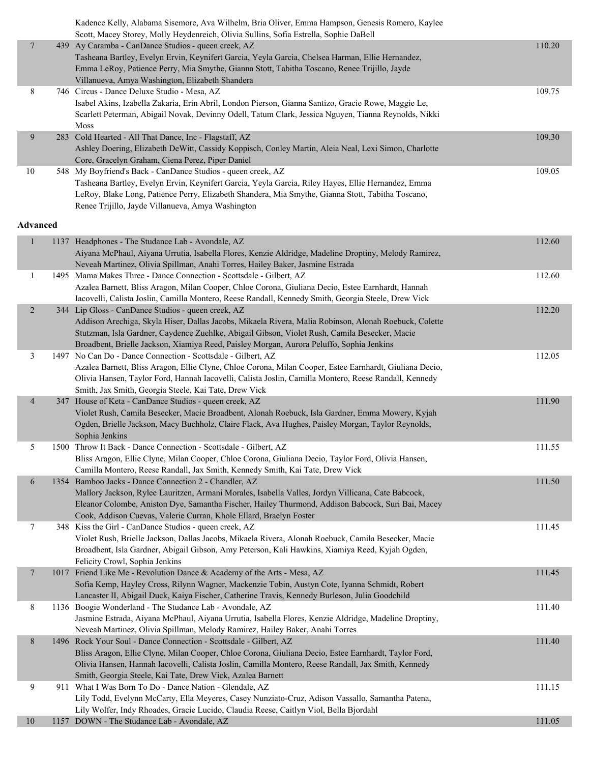|                 | Kadence Kelly, Alabama Sisemore, Ava Wilhelm, Bria Oliver, Emma Hampson, Genesis Romero, Kaylee<br>Scott, Macey Storey, Molly Heydenreich, Olivia Sullins, Sofia Estrella, Sophie DaBell |        |
|-----------------|------------------------------------------------------------------------------------------------------------------------------------------------------------------------------------------|--------|
| $\overline{7}$  | 439 Ay Caramba - CanDance Studios - queen creek, AZ                                                                                                                                      | 110.20 |
|                 | Tasheana Bartley, Evelyn Ervin, Keynifert Garcia, Yeyla Garcia, Chelsea Harman, Ellie Hernandez,                                                                                         |        |
|                 | Emma LeRoy, Patience Perry, Mia Smythe, Gianna Stott, Tabitha Toscano, Renee Trijillo, Jayde                                                                                             |        |
|                 | Villanueva, Amya Washington, Elizabeth Shandera                                                                                                                                          |        |
| 8               | 746 Circus - Dance Deluxe Studio - Mesa, AZ                                                                                                                                              | 109.75 |
|                 | Isabel Akins, Izabella Zakaria, Erin Abril, London Pierson, Gianna Santizo, Gracie Rowe, Maggie Le,                                                                                      |        |
|                 | Scarlett Peterman, Abigail Novak, Devinny Odell, Tatum Clark, Jessica Nguyen, Tianna Reynolds, Nikki                                                                                     |        |
|                 | Moss                                                                                                                                                                                     |        |
| 9               | 283 Cold Hearted - All That Dance, Inc - Flagstaff, AZ                                                                                                                                   | 109.30 |
|                 | Ashley Doering, Elizabeth DeWitt, Cassidy Koppisch, Conley Martin, Aleia Neal, Lexi Simon, Charlotte                                                                                     |        |
|                 | Core, Gracelyn Graham, Ciena Perez, Piper Daniel                                                                                                                                         |        |
| 10              | 548 My Boyfriend's Back - CanDance Studios - queen creek, AZ                                                                                                                             | 109.05 |
|                 | Tasheana Bartley, Evelyn Ervin, Keynifert Garcia, Yeyla Garcia, Riley Hayes, Ellie Hernandez, Emma                                                                                       |        |
|                 | LeRoy, Blake Long, Patience Perry, Elizabeth Shandera, Mia Smythe, Gianna Stott, Tabitha Toscano,                                                                                        |        |
|                 | Renee Trijillo, Jayde Villanueva, Amya Washington                                                                                                                                        |        |
|                 |                                                                                                                                                                                          |        |
| <b>Advanced</b> |                                                                                                                                                                                          |        |
| $\mathbf{1}$    | 1137 Headphones - The Studance Lab - Avondale, AZ                                                                                                                                        | 112.60 |
|                 | Aiyana McPhaul, Aiyana Urrutia, Isabella Flores, Kenzie Aldridge, Madeline Droptiny, Melody Ramirez,                                                                                     |        |
|                 | Neveah Martinez, Olivia Spillman, Anahi Torres, Hailey Baker, Jasmine Estrada                                                                                                            |        |
| $\mathbf{1}$    | 1495 Mama Makes Three - Dance Connection - Scottsdale - Gilbert, AZ                                                                                                                      | 112.60 |
|                 | Azalea Barnett, Bliss Aragon, Milan Cooper, Chloe Corona, Giuliana Decio, Estee Earnhardt, Hannah                                                                                        |        |
|                 | Iacovelli, Calista Joslin, Camilla Montero, Reese Randall, Kennedy Smith, Georgia Steele, Drew Vick                                                                                      |        |
| $\overline{2}$  | 344 Lip Gloss - CanDance Studios - queen creek, AZ                                                                                                                                       | 112.20 |
|                 | Addison Arechiga, Skyla Hiser, Dallas Jacobs, Mikaela Rivera, Malia Robinson, Alonah Roebuck, Colette                                                                                    |        |
|                 | Stutzman, Isla Gardner, Caydence Zuehlke, Abigail Gibson, Violet Rush, Camila Besecker, Macie                                                                                            |        |
|                 | Broadbent, Brielle Jackson, Xiamiya Reed, Paisley Morgan, Aurora Peluffo, Sophia Jenkins                                                                                                 |        |
| 3               | 1497 No Can Do - Dance Connection - Scottsdale - Gilbert, AZ                                                                                                                             | 112.05 |
|                 | Azalea Barnett, Bliss Aragon, Ellie Clyne, Chloe Corona, Milan Cooper, Estee Earnhardt, Giuliana Decio,                                                                                  |        |
|                 | Olivia Hansen, Taylor Ford, Hannah Iacovelli, Calista Joslin, Camilla Montero, Reese Randall, Kennedy                                                                                    |        |
|                 | Smith, Jax Smith, Georgia Steele, Kai Tate, Drew Vick                                                                                                                                    |        |
| $\overline{4}$  | 347 House of Keta - CanDance Studios - queen creek, AZ                                                                                                                                   | 111.90 |
|                 | Violet Rush, Camila Besecker, Macie Broadbent, Alonah Roebuck, Isla Gardner, Emma Mowery, Kyjah                                                                                          |        |
|                 | Ogden, Brielle Jackson, Macy Buchholz, Claire Flack, Ava Hughes, Paisley Morgan, Taylor Reynolds,                                                                                        |        |
|                 | Sophia Jenkins                                                                                                                                                                           |        |
| 5               | 1500 Throw It Back - Dance Connection - Scottsdale - Gilbert, AZ                                                                                                                         | 111.55 |
|                 | Bliss Aragon, Ellie Clyne, Milan Cooper, Chloe Corona, Giuliana Decio, Taylor Ford, Olivia Hansen,                                                                                       |        |
|                 | Camilla Montero, Reese Randall, Jax Smith, Kennedy Smith, Kai Tate, Drew Vick                                                                                                            |        |
| 6               | 1354 Bamboo Jacks - Dance Connection 2 - Chandler, AZ                                                                                                                                    | 111.50 |
|                 | Mallory Jackson, Rylee Lauritzen, Armani Morales, Isabella Valles, Jordyn Villicana, Cate Babcock,                                                                                       |        |
|                 | Eleanor Colombe, Aniston Dye, Samantha Fischer, Hailey Thurmond, Addison Babcock, Suri Bai, Macey                                                                                        |        |
|                 | Cook, Addison Cuevas, Valerie Curran, Khole Ellard, Braelyn Foster                                                                                                                       |        |
| $\tau$          | 348 Kiss the Girl - CanDance Studios - queen creek, AZ                                                                                                                                   | 111.45 |
|                 | Violet Rush, Brielle Jackson, Dallas Jacobs, Mikaela Rivera, Alonah Roebuck, Camila Besecker, Macie                                                                                      |        |
|                 | Broadbent, Isla Gardner, Abigail Gibson, Amy Peterson, Kali Hawkins, Xiamiya Reed, Kyjah Ogden,                                                                                          |        |
|                 | Felicity Crowl, Sophia Jenkins                                                                                                                                                           |        |
| $\overline{7}$  | 1017 Friend Like Me - Revolution Dance & Academy of the Arts - Mesa, AZ                                                                                                                  | 111.45 |
|                 | Sofia Kemp, Hayley Cross, Rilynn Wagner, Mackenzie Tobin, Austyn Cote, Iyanna Schmidt, Robert                                                                                            |        |
|                 | Lancaster II, Abigail Duck, Kaiya Fischer, Catherine Travis, Kennedy Burleson, Julia Goodchild                                                                                           |        |
| 8               | 1136 Boogie Wonderland - The Studance Lab - Avondale, AZ                                                                                                                                 | 111.40 |
|                 | Jasmine Estrada, Aiyana McPhaul, Aiyana Urrutia, Isabella Flores, Kenzie Aldridge, Madeline Droptiny,                                                                                    |        |
|                 | Neveah Martinez, Olivia Spillman, Melody Ramirez, Hailey Baker, Anahi Torres                                                                                                             |        |
| $8\,$           | 1496 Rock Your Soul - Dance Connection - Scottsdale - Gilbert, AZ                                                                                                                        | 111.40 |
|                 | Bliss Aragon, Ellie Clyne, Milan Cooper, Chloe Corona, Giuliana Decio, Estee Earnhardt, Taylor Ford,                                                                                     |        |
|                 | Olivia Hansen, Hannah Iacovelli, Calista Joslin, Camilla Montero, Reese Randall, Jax Smith, Kennedy                                                                                      |        |
|                 | Smith, Georgia Steele, Kai Tate, Drew Vick, Azalea Barnett                                                                                                                               |        |
| 9               | 911 What I Was Born To Do - Dance Nation - Glendale, AZ                                                                                                                                  | 111.15 |
|                 | Lily Todd, Evelynn McCarty, Ella Meyeres, Casey Nunziato-Cruz, Adison Vassallo, Samantha Patena,                                                                                         |        |
|                 | Lily Wolfer, Indy Rhoades, Gracie Lucido, Claudia Reese, Caitlyn Viol, Bella Bjordahl                                                                                                    |        |
| 10              | 1157 DOWN - The Studance Lab - Avondale, AZ                                                                                                                                              | 111.05 |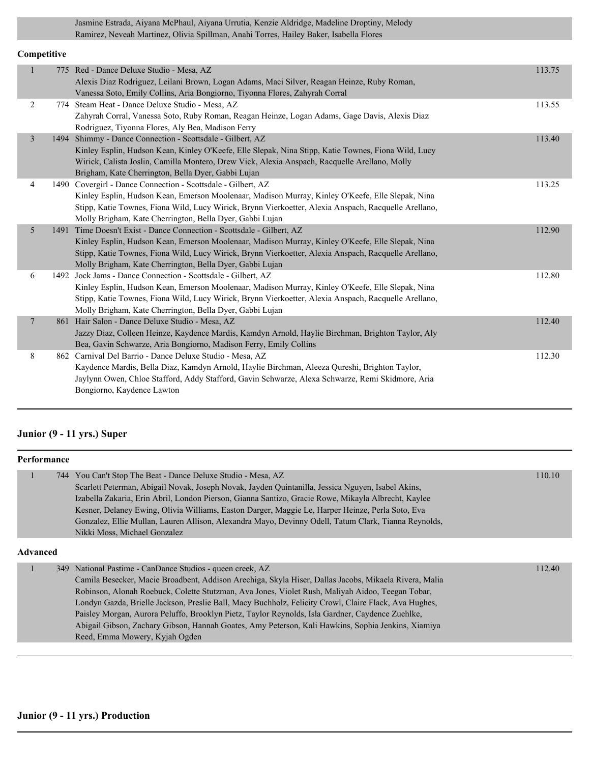Jasmine Estrada, Aiyana McPhaul, Aiyana Urrutia, Kenzie Aldridge, Madeline Droptiny, Melody Ramirez, Neveah Martinez, Olivia Spillman, Anahi Torres, Hailey Baker, Isabella Flores

#### **Competitive**

| $\mathbf{1}$ | 775 Red - Dance Deluxe Studio - Mesa, AZ                                                             | 113.75 |
|--------------|------------------------------------------------------------------------------------------------------|--------|
|              | Alexis Diaz Rodriguez, Leilani Brown, Logan Adams, Maci Silver, Reagan Heinze, Ruby Roman,           |        |
|              | Vanessa Soto, Emily Collins, Aria Bongiorno, Tiyonna Flores, Zahyrah Corral                          |        |
| 2            | 774 Steam Heat - Dance Deluxe Studio - Mesa, AZ                                                      | 113.55 |
|              | Zahyrah Corral, Vanessa Soto, Ruby Roman, Reagan Heinze, Logan Adams, Gage Davis, Alexis Diaz        |        |
|              | Rodriguez, Tiyonna Flores, Aly Bea, Madison Ferry                                                    |        |
| 3            | 1494 Shimmy - Dance Connection - Scottsdale - Gilbert, AZ                                            | 113.40 |
|              | Kinley Esplin, Hudson Kean, Kinley O'Keefe, Elle Slepak, Nina Stipp, Katie Townes, Fiona Wild, Lucy  |        |
|              | Wirick, Calista Joslin, Camilla Montero, Drew Vick, Alexia Anspach, Racquelle Arellano, Molly        |        |
|              | Brigham, Kate Cherrington, Bella Dyer, Gabbi Lujan                                                   |        |
| 4            | 1490 Covergirl - Dance Connection - Scottsdale - Gilbert, AZ                                         | 113.25 |
|              | Kinley Esplin, Hudson Kean, Emerson Moolenaar, Madison Murray, Kinley O'Keefe, Elle Slepak, Nina     |        |
|              | Stipp, Katie Townes, Fiona Wild, Lucy Wirick, Brynn Vierkoetter, Alexia Anspach, Racquelle Arellano, |        |
|              | Molly Brigham, Kate Cherrington, Bella Dyer, Gabbi Lujan                                             |        |
| 5            | 1491 Time Doesn't Exist - Dance Connection - Scottsdale - Gilbert, AZ                                | 112.90 |
|              | Kinley Esplin, Hudson Kean, Emerson Moolenaar, Madison Murray, Kinley O'Keefe, Elle Slepak, Nina     |        |
|              | Stipp, Katie Townes, Fiona Wild, Lucy Wirick, Brynn Vierkoetter, Alexia Anspach, Racquelle Arellano, |        |
|              | Molly Brigham, Kate Cherrington, Bella Dyer, Gabbi Lujan                                             |        |
| 6            | 1492 Jock Jams - Dance Connection - Scottsdale - Gilbert, AZ                                         | 112.80 |
|              | Kinley Esplin, Hudson Kean, Emerson Moolenaar, Madison Murray, Kinley O'Keefe, Elle Slepak, Nina     |        |
|              | Stipp, Katie Townes, Fiona Wild, Lucy Wirick, Brynn Vierkoetter, Alexia Anspach, Racquelle Arellano, |        |
|              | Molly Brigham, Kate Cherrington, Bella Dyer, Gabbi Lujan                                             |        |
| $\tau$       | 861 Hair Salon - Dance Deluxe Studio - Mesa, AZ                                                      | 112.40 |
|              | Jazzy Diaz, Colleen Heinze, Kaydence Mardis, Kamdyn Arnold, Haylie Birchman, Brighton Taylor, Aly    |        |
|              | Bea, Gavin Schwarze, Aria Bongiorno, Madison Ferry, Emily Collins                                    |        |
| 8            | 862 Carnival Del Barrio - Dance Deluxe Studio - Mesa, AZ                                             | 112.30 |
|              | Kaydence Mardis, Bella Diaz, Kamdyn Arnold, Haylie Birchman, Aleeza Qureshi, Brighton Taylor,        |        |
|              | Jaylynn Owen, Chloe Stafford, Addy Stafford, Gavin Schwarze, Alexa Schwarze, Remi Skidmore, Aria     |        |
|              | Bongiorno, Kaydence Lawton                                                                           |        |
|              |                                                                                                      |        |

### **Junior (9 - 11 yrs.) Super**

|                 | Performance |                                                                                                                                                                                                                                                                                                                                                                                                                                                                                                                                                                                           |        |
|-----------------|-------------|-------------------------------------------------------------------------------------------------------------------------------------------------------------------------------------------------------------------------------------------------------------------------------------------------------------------------------------------------------------------------------------------------------------------------------------------------------------------------------------------------------------------------------------------------------------------------------------------|--------|
|                 |             | 744 You Can't Stop The Beat - Dance Deluxe Studio - Mesa, AZ<br>Scarlett Peterman, Abigail Novak, Joseph Novak, Jayden Quintanilla, Jessica Nguyen, Isabel Akins,<br>Izabella Zakaria, Erin Abril, London Pierson, Gianna Santizo, Gracie Rowe, Mikayla Albrecht, Kaylee<br>Kesner, Delaney Ewing, Olivia Williams, Easton Darger, Maggie Le, Harper Heinze, Perla Soto, Eva<br>Gonzalez, Ellie Mullan, Lauren Allison, Alexandra Mayo, Devinny Odell, Tatum Clark, Tianna Reynolds,<br>Nikki Moss, Michael Gonzalez                                                                      | 110.10 |
| <b>Advanced</b> |             |                                                                                                                                                                                                                                                                                                                                                                                                                                                                                                                                                                                           |        |
|                 |             | 349 National Pastime - CanDance Studios - queen creek, AZ<br>Camila Besecker, Macie Broadbent, Addison Arechiga, Skyla Hiser, Dallas Jacobs, Mikaela Rivera, Malia<br>Robinson, Alonah Roebuck, Colette Stutzman, Ava Jones, Violet Rush, Maliyah Aidoo, Teegan Tobar,<br>Londyn Gazda, Brielle Jackson, Preslie Ball, Macy Buchholz, Felicity Crowl, Claire Flack, Ava Hughes,<br>Paisley Morgan, Aurora Peluffo, Brooklyn Pietz, Taylor Reynolds, Isla Gardner, Caydence Zuehlke,<br>Abigail Gibson, Zachary Gibson, Hannah Goates, Amy Peterson, Kali Hawkins, Sophia Jenkins, Xiamiya | 112.40 |

Reed, Emma Mowery, Kyjah Ogden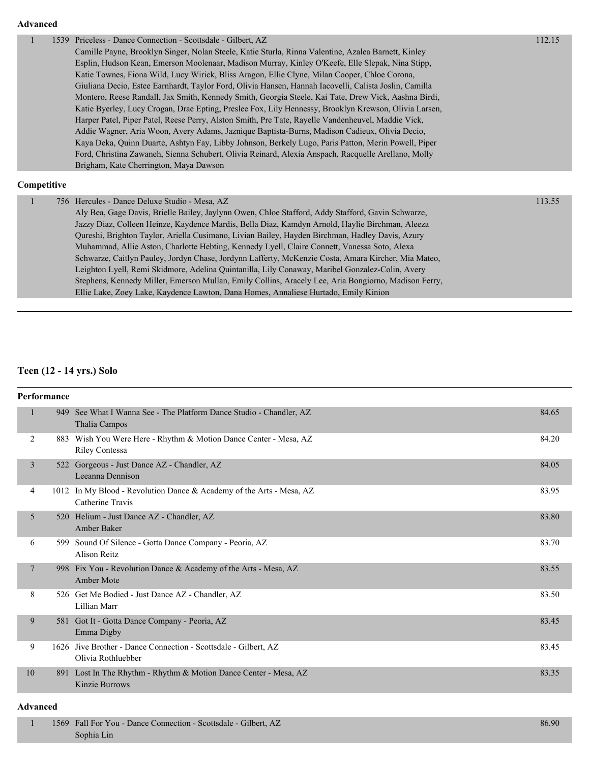| 112.15<br>Priceless - Dance Connection - Scottsdale - Gilbert, AZ<br>1539<br>Camille Payne, Brooklyn Singer, Nolan Steele, Katie Sturla, Rinna Valentine, Azalea Barnett, Kinley<br>Esplin, Hudson Kean, Emerson Moolenaar, Madison Murray, Kinley O'Keefe, Elle Slepak, Nina Stipp,<br>Katie Townes, Fiona Wild, Lucy Wirick, Bliss Aragon, Ellie Clyne, Milan Cooper, Chloe Corona,<br>Giuliana Decio, Estee Earnhardt, Taylor Ford, Olivia Hansen, Hannah Iacovelli, Calista Joslin, Camilla<br>Montero, Reese Randall, Jax Smith, Kennedy Smith, Georgia Steele, Kai Tate, Drew Vick, Aashna Birdi,<br>Katie Byerley, Lucy Crogan, Drae Epting, Preslee Fox, Lily Hennessy, Brooklyn Krewson, Olivia Larsen,<br>Harper Patel, Piper Patel, Reese Perry, Alston Smith, Pre Tate, Rayelle Vandenheuvel, Maddie Vick,<br>Addie Wagner, Aria Woon, Avery Adams, Jaznique Baptista-Burns, Madison Cadieux, Olivia Decio,<br>Kaya Deka, Quinn Duarte, Ashtyn Fay, Libby Johnson, Berkely Lugo, Paris Patton, Merin Powell, Piper<br>Ford, Christina Zawaneh, Sienna Schubert, Olivia Reinard, Alexia Anspach, Racquelle Arellano, Molly<br>Brigham, Kate Cherrington, Maya Dawson<br>Competitive<br>756 Hercules - Dance Deluxe Studio - Mesa, AZ<br>113.55<br>1<br>Aly Bea, Gage Davis, Brielle Bailey, Jaylynn Owen, Chloe Stafford, Addy Stafford, Gavin Schwarze,<br>Jazzy Diaz, Colleen Heinze, Kaydence Mardis, Bella Diaz, Kamdyn Arnold, Haylie Birchman, Aleeza<br>Qureshi, Brighton Taylor, Ariella Cusimano, Livian Bailey, Hayden Birchman, Hadley Davis, Azury<br>Muhammad, Allie Aston, Charlotte Hebting, Kennedy Lyell, Claire Connett, Vanessa Soto, Alexa<br>Schwarze, Caitlyn Pauley, Jordyn Chase, Jordynn Lafferty, McKenzie Costa, Amara Kircher, Mia Mateo, |  |                                                                                                 |  |
|----------------------------------------------------------------------------------------------------------------------------------------------------------------------------------------------------------------------------------------------------------------------------------------------------------------------------------------------------------------------------------------------------------------------------------------------------------------------------------------------------------------------------------------------------------------------------------------------------------------------------------------------------------------------------------------------------------------------------------------------------------------------------------------------------------------------------------------------------------------------------------------------------------------------------------------------------------------------------------------------------------------------------------------------------------------------------------------------------------------------------------------------------------------------------------------------------------------------------------------------------------------------------------------------------------------------------------------------------------------------------------------------------------------------------------------------------------------------------------------------------------------------------------------------------------------------------------------------------------------------------------------------------------------------------------------------------------------------------------------------------------------------------------|--|-------------------------------------------------------------------------------------------------|--|
|                                                                                                                                                                                                                                                                                                                                                                                                                                                                                                                                                                                                                                                                                                                                                                                                                                                                                                                                                                                                                                                                                                                                                                                                                                                                                                                                                                                                                                                                                                                                                                                                                                                                                                                                                                                  |  |                                                                                                 |  |
|                                                                                                                                                                                                                                                                                                                                                                                                                                                                                                                                                                                                                                                                                                                                                                                                                                                                                                                                                                                                                                                                                                                                                                                                                                                                                                                                                                                                                                                                                                                                                                                                                                                                                                                                                                                  |  |                                                                                                 |  |
|                                                                                                                                                                                                                                                                                                                                                                                                                                                                                                                                                                                                                                                                                                                                                                                                                                                                                                                                                                                                                                                                                                                                                                                                                                                                                                                                                                                                                                                                                                                                                                                                                                                                                                                                                                                  |  |                                                                                                 |  |
|                                                                                                                                                                                                                                                                                                                                                                                                                                                                                                                                                                                                                                                                                                                                                                                                                                                                                                                                                                                                                                                                                                                                                                                                                                                                                                                                                                                                                                                                                                                                                                                                                                                                                                                                                                                  |  |                                                                                                 |  |
|                                                                                                                                                                                                                                                                                                                                                                                                                                                                                                                                                                                                                                                                                                                                                                                                                                                                                                                                                                                                                                                                                                                                                                                                                                                                                                                                                                                                                                                                                                                                                                                                                                                                                                                                                                                  |  |                                                                                                 |  |
|                                                                                                                                                                                                                                                                                                                                                                                                                                                                                                                                                                                                                                                                                                                                                                                                                                                                                                                                                                                                                                                                                                                                                                                                                                                                                                                                                                                                                                                                                                                                                                                                                                                                                                                                                                                  |  |                                                                                                 |  |
|                                                                                                                                                                                                                                                                                                                                                                                                                                                                                                                                                                                                                                                                                                                                                                                                                                                                                                                                                                                                                                                                                                                                                                                                                                                                                                                                                                                                                                                                                                                                                                                                                                                                                                                                                                                  |  |                                                                                                 |  |
|                                                                                                                                                                                                                                                                                                                                                                                                                                                                                                                                                                                                                                                                                                                                                                                                                                                                                                                                                                                                                                                                                                                                                                                                                                                                                                                                                                                                                                                                                                                                                                                                                                                                                                                                                                                  |  |                                                                                                 |  |
|                                                                                                                                                                                                                                                                                                                                                                                                                                                                                                                                                                                                                                                                                                                                                                                                                                                                                                                                                                                                                                                                                                                                                                                                                                                                                                                                                                                                                                                                                                                                                                                                                                                                                                                                                                                  |  |                                                                                                 |  |
|                                                                                                                                                                                                                                                                                                                                                                                                                                                                                                                                                                                                                                                                                                                                                                                                                                                                                                                                                                                                                                                                                                                                                                                                                                                                                                                                                                                                                                                                                                                                                                                                                                                                                                                                                                                  |  |                                                                                                 |  |
|                                                                                                                                                                                                                                                                                                                                                                                                                                                                                                                                                                                                                                                                                                                                                                                                                                                                                                                                                                                                                                                                                                                                                                                                                                                                                                                                                                                                                                                                                                                                                                                                                                                                                                                                                                                  |  |                                                                                                 |  |
|                                                                                                                                                                                                                                                                                                                                                                                                                                                                                                                                                                                                                                                                                                                                                                                                                                                                                                                                                                                                                                                                                                                                                                                                                                                                                                                                                                                                                                                                                                                                                                                                                                                                                                                                                                                  |  |                                                                                                 |  |
|                                                                                                                                                                                                                                                                                                                                                                                                                                                                                                                                                                                                                                                                                                                                                                                                                                                                                                                                                                                                                                                                                                                                                                                                                                                                                                                                                                                                                                                                                                                                                                                                                                                                                                                                                                                  |  |                                                                                                 |  |
|                                                                                                                                                                                                                                                                                                                                                                                                                                                                                                                                                                                                                                                                                                                                                                                                                                                                                                                                                                                                                                                                                                                                                                                                                                                                                                                                                                                                                                                                                                                                                                                                                                                                                                                                                                                  |  |                                                                                                 |  |
|                                                                                                                                                                                                                                                                                                                                                                                                                                                                                                                                                                                                                                                                                                                                                                                                                                                                                                                                                                                                                                                                                                                                                                                                                                                                                                                                                                                                                                                                                                                                                                                                                                                                                                                                                                                  |  |                                                                                                 |  |
|                                                                                                                                                                                                                                                                                                                                                                                                                                                                                                                                                                                                                                                                                                                                                                                                                                                                                                                                                                                                                                                                                                                                                                                                                                                                                                                                                                                                                                                                                                                                                                                                                                                                                                                                                                                  |  |                                                                                                 |  |
|                                                                                                                                                                                                                                                                                                                                                                                                                                                                                                                                                                                                                                                                                                                                                                                                                                                                                                                                                                                                                                                                                                                                                                                                                                                                                                                                                                                                                                                                                                                                                                                                                                                                                                                                                                                  |  |                                                                                                 |  |
|                                                                                                                                                                                                                                                                                                                                                                                                                                                                                                                                                                                                                                                                                                                                                                                                                                                                                                                                                                                                                                                                                                                                                                                                                                                                                                                                                                                                                                                                                                                                                                                                                                                                                                                                                                                  |  |                                                                                                 |  |
|                                                                                                                                                                                                                                                                                                                                                                                                                                                                                                                                                                                                                                                                                                                                                                                                                                                                                                                                                                                                                                                                                                                                                                                                                                                                                                                                                                                                                                                                                                                                                                                                                                                                                                                                                                                  |  |                                                                                                 |  |
|                                                                                                                                                                                                                                                                                                                                                                                                                                                                                                                                                                                                                                                                                                                                                                                                                                                                                                                                                                                                                                                                                                                                                                                                                                                                                                                                                                                                                                                                                                                                                                                                                                                                                                                                                                                  |  |                                                                                                 |  |
|                                                                                                                                                                                                                                                                                                                                                                                                                                                                                                                                                                                                                                                                                                                                                                                                                                                                                                                                                                                                                                                                                                                                                                                                                                                                                                                                                                                                                                                                                                                                                                                                                                                                                                                                                                                  |  | Leighton Lyell, Remi Skidmore, Adelina Quintanilla, Lily Conaway, Maribel Gonzalez-Colin, Avery |  |

Stephens, Kennedy Miller, Emerson Mullan, Emily Collins, Aracely Lee, Aria Bongiorno, Madison Ferry,

Ellie Lake, Zoey Lake, Kaydence Lawton, Dana Homes, Annaliese Hurtado, Emily Kinion

# **Teen (12 - 14 yrs.) Solo**

| Performance    |                                                                                           |       |
|----------------|-------------------------------------------------------------------------------------------|-------|
| 1              | 949 See What I Wanna See - The Platform Dance Studio - Chandler, AZ<br>Thalia Campos      | 84.65 |
| 2              | 883 Wish You Were Here - Rhythm & Motion Dance Center - Mesa, AZ<br><b>Riley Contessa</b> | 84.20 |
| 3              | 522 Gorgeous - Just Dance AZ - Chandler, AZ<br>Leeanna Dennison                           | 84.05 |
| 4              | 1012 In My Blood - Revolution Dance & Academy of the Arts - Mesa, AZ<br>Catherine Travis  | 83.95 |
| 5              | 520 Helium - Just Dance AZ - Chandler, AZ<br>Amber Baker                                  | 83.80 |
| 6              | 599 Sound Of Silence - Gotta Dance Company - Peoria, AZ<br><b>Alison Reitz</b>            | 83.70 |
| $\overline{7}$ | 998 Fix You - Revolution Dance & Academy of the Arts - Mesa, AZ<br>Amber Mote             | 83.55 |
| 8              | 526 Get Me Bodied - Just Dance AZ - Chandler, AZ<br>Lillian Marr                          | 83.50 |
| 9              | 581 Got It - Gotta Dance Company - Peoria, AZ<br>Emma Digby                               | 83.45 |
| 9              | 1626 Jive Brother - Dance Connection - Scottsdale - Gilbert, AZ<br>Olivia Rothluebber     | 83.45 |
| 10<br>891      | Lost In The Rhythm - Rhythm & Motion Dance Center - Mesa, AZ<br><b>Kinzie Burrows</b>     | 83.35 |

#### **Advanced**

| 1569 Fall For You - Dance Connection - Scottsdale - Gilbert, AZ | 86.90 |
|-----------------------------------------------------------------|-------|
| Sophia Lin                                                      |       |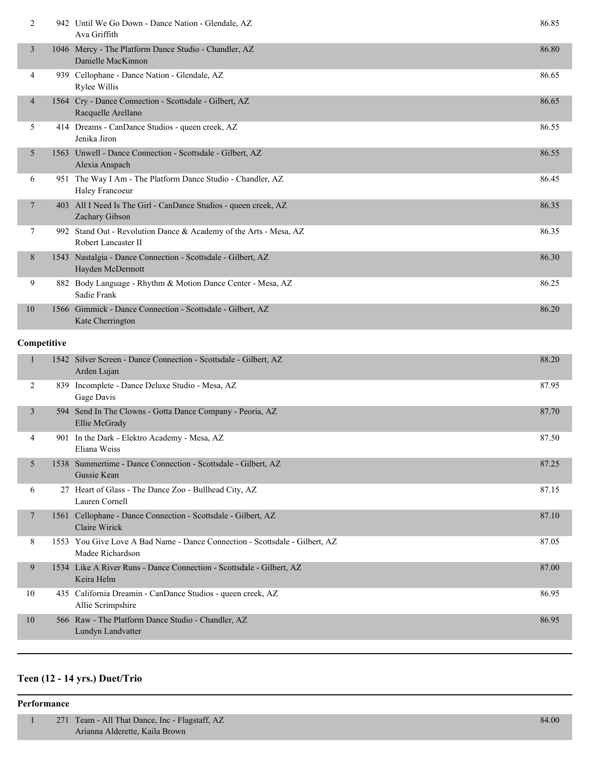| 2              | 942 Until We Go Down - Dance Nation - Glendale, AZ<br>Ava Griffith                       | 86.85 |
|----------------|------------------------------------------------------------------------------------------|-------|
| 3              | 1046 Mercy - The Platform Dance Studio - Chandler, AZ<br>Danielle MacKinnon              | 86.80 |
| 4              | 939 Cellophane - Dance Nation - Glendale, AZ<br>Rylee Willis                             | 86.65 |
| $\overline{4}$ | 1564 Cry - Dance Connection - Scottsdale - Gilbert, AZ<br>Racquelle Arellano             | 86.65 |
| 5              | 414 Dreams - CanDance Studios - queen creek, AZ<br>Jenika Jiron                          | 86.55 |
| 5              | 1563 Unwell - Dance Connection - Scottsdale - Gilbert, AZ<br>Alexia Anspach              | 86.55 |
| 6              | 951 The Way I Am - The Platform Dance Studio - Chandler, AZ<br>Haley Francoeur           | 86.45 |
| 7              | 403 All I Need Is The Girl - CanDance Studios - queen creek, AZ<br>Zachary Gibson        | 86.35 |
| 7              | 992 Stand Out - Revolution Dance & Academy of the Arts - Mesa, AZ<br>Robert Lancaster II | 86.35 |
| 8              | 1543 Nastalgia - Dance Connection - Scottsdale - Gilbert, AZ<br>Hayden McDermott         | 86.30 |
| 9              | 882 Body Language - Rhythm & Motion Dance Center - Mesa, AZ<br>Sadie Frank               | 86.25 |
| 10             | 1566 Gimmick - Dance Connection - Scottsdale - Gilbert, AZ<br>Kate Cherrington           | 86.20 |
|                |                                                                                          |       |

### **Competitive**

| 1  |      | 1542 Silver Screen - Dance Connection - Scottsdale - Gilbert, AZ<br>Arden Lujan            | 88.20 |
|----|------|--------------------------------------------------------------------------------------------|-------|
| 2  | 839  | Incomplete - Dance Deluxe Studio - Mesa, AZ<br>Gage Davis                                  | 87.95 |
| 3  | 594  | Send In The Clowns - Gotta Dance Company - Peoria, AZ<br>Ellie McGrady                     | 87.70 |
| 4  | 901  | In the Dark - Elektro Academy - Mesa, AZ<br>Eliana Weiss                                   | 87.50 |
| 5  |      | 1538 Summertime - Dance Connection - Scottsdale - Gilbert, AZ<br>Gussie Kean               | 87.25 |
| 6  |      | 27 Heart of Glass - The Dance Zoo - Bullhead City, AZ<br>Lauren Cornell                    | 87.15 |
| 7  |      | 1561 Cellophane - Dance Connection - Scottsdale - Gilbert, AZ<br>Claire Wirick             | 87.10 |
| 8  | 1553 | You Give Love A Bad Name - Dance Connection - Scottsdale - Gilbert, AZ<br>Madee Richardson | 87.05 |
| 9  |      | 1534 Like A River Runs - Dance Connection - Scottsdale - Gilbert, AZ<br>Keira Helm         | 87.00 |
| 10 |      | 435 California Dreamin - CanDance Studios - queen creek, AZ<br>Allie Scrimpshire           | 86.95 |
| 10 |      | 566 Raw - The Platform Dance Studio - Chandler, AZ<br>Lundyn Landvatter                    | 86.95 |

# **Teen (12 - 14 yrs.) Duet/Trio**

### **Performance**

|  | 271 Team - All That Dance, Inc - Flagstaff, AZ | 84.00 |
|--|------------------------------------------------|-------|
|  | Arianna Alderette, Kaila Brown                 |       |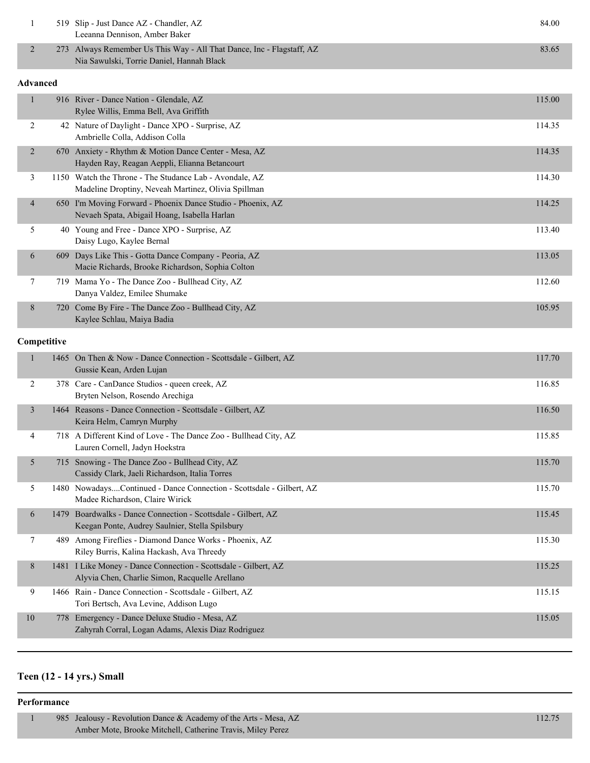|                                                            | 519 Slip - Just Dance AZ - Chandler, AZ<br>Leeanna Dennison, Amber Baker                                           | 84.00 |  |
|------------------------------------------------------------|--------------------------------------------------------------------------------------------------------------------|-------|--|
|                                                            | 273 Always Remember Us This Way - All That Dance, Inc - Flagstaff, AZ<br>Nia Sawulski, Torrie Daniel, Hannah Black | 83.65 |  |
| $\blacktriangle$ and $\blacktriangle$ and $\blacktriangle$ |                                                                                                                    |       |  |

|                |     | 916 River - Dance Nation - Glendale, AZ<br>Rylee Willis, Emma Bell, Ava Griffith                               | 115.00 |
|----------------|-----|----------------------------------------------------------------------------------------------------------------|--------|
| 2              |     | 42 Nature of Daylight - Dance XPO - Surprise, AZ<br>Ambrielle Colla, Addison Colla                             | 114.35 |
| 2              |     | 670 Anxiety - Rhythm & Motion Dance Center - Mesa, AZ<br>Hayden Ray, Reagan Aeppli, Elianna Betancourt         | 114.35 |
| 3              |     | 1150 Watch the Throne - The Studance Lab - Avondale, AZ<br>Madeline Droptiny, Neveah Martinez, Olivia Spillman | 114.30 |
| $\overline{4}$ | 650 | I'm Moving Forward - Phoenix Dance Studio - Phoenix, AZ<br>Nevaeh Spata, Abigail Hoang, Isabella Harlan        | 114.25 |
| 5              | 40  | Young and Free - Dance XPO - Surprise, AZ<br>Daisy Lugo, Kaylee Bernal                                         | 113.40 |
| 6              | 609 | Days Like This - Gotta Dance Company - Peoria, AZ<br>Macie Richards, Brooke Richardson, Sophia Colton          | 113.05 |
| 7              | 719 | Mama Yo - The Dance Zoo - Bullhead City, AZ<br>Danya Valdez, Emilee Shumake                                    | 112.60 |
| 8              | 720 | Come By Fire - The Dance Zoo - Bullhead City, AZ<br>Kaylee Schlau, Maiya Badia                                 | 105.95 |

### **Competitive**

| 1              |      | 1465 On Then & Now - Dance Connection - Scottsdale - Gilbert, AZ<br>Gussie Kean, Arden Lujan                      | 117.70 |
|----------------|------|-------------------------------------------------------------------------------------------------------------------|--------|
| 2              |      | 378 Care - CanDance Studios - queen creek, AZ<br>Bryten Nelson, Rosendo Arechiga                                  | 116.85 |
| $\overline{3}$ |      | 1464 Reasons - Dance Connection - Scottsdale - Gilbert, AZ<br>Keira Helm, Camryn Murphy                           | 116.50 |
| 4              |      | 718 A Different Kind of Love - The Dance Zoo - Bullhead City, AZ<br>Lauren Cornell, Jadyn Hoekstra                | 115.85 |
| 5              |      | 715 Snowing - The Dance Zoo - Bullhead City, AZ<br>Cassidy Clark, Jaeli Richardson, Italia Torres                 | 115.70 |
| 5              |      | 1480 NowadaysContinued - Dance Connection - Scottsdale - Gilbert, AZ<br>Madee Richardson, Claire Wirick           | 115.70 |
| 6              | 1479 | Boardwalks - Dance Connection - Scottsdale - Gilbert, AZ<br>Keegan Ponte, Audrey Saulnier, Stella Spilsbury       | 115.45 |
| $\tau$         | 489  | Among Fireflies - Diamond Dance Works - Phoenix, AZ<br>Riley Burris, Kalina Hackash, Ava Threedy                  | 115.30 |
| 8              |      | 1481 I Like Money - Dance Connection - Scottsdale - Gilbert, AZ<br>Alyvia Chen, Charlie Simon, Racquelle Arellano | 115.25 |
| 9              |      | 1466 Rain - Dance Connection - Scottsdale - Gilbert, AZ<br>Tori Bertsch, Ava Levine, Addison Lugo                 | 115.15 |
| 10             | 778  | Emergency - Dance Deluxe Studio - Mesa, AZ<br>Zahyrah Corral, Logan Adams, Alexis Diaz Rodriguez                  | 115.05 |

# **Teen (12 - 14 yrs.) Small**

#### **Performance**

| 985 Jealousy - Revolution Dance & Academy of the Arts - Mesa, AZ |  |
|------------------------------------------------------------------|--|
| Amber Mote, Brooke Mitchell, Catherine Travis, Miley Perez       |  |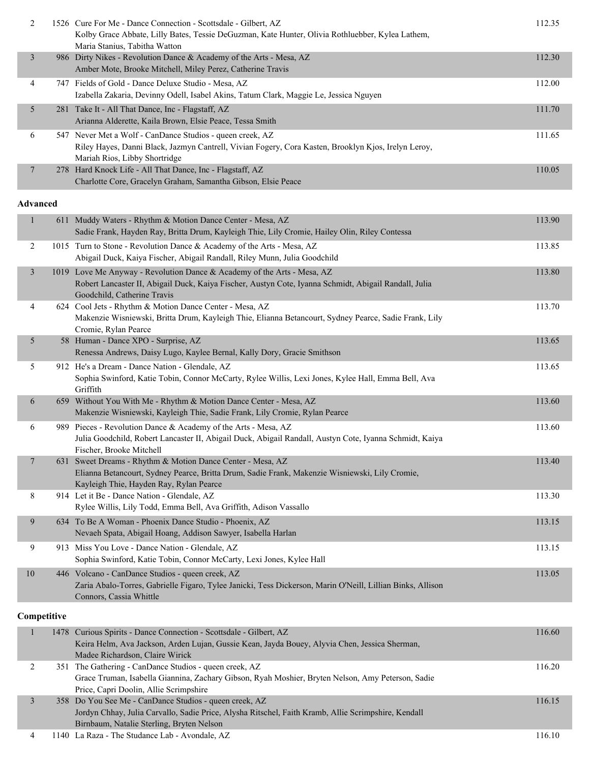| 2 | 1526 Cure For Me - Dance Connection - Scottsdale - Gilbert, AZ<br>Kolby Grace Abbate, Lilly Bates, Tessie DeGuzman, Kate Hunter, Olivia Rothluebber, Kylea Lathem,<br>Maria Stanius, Tabitha Watton | 112.35 |
|---|-----------------------------------------------------------------------------------------------------------------------------------------------------------------------------------------------------|--------|
| 3 | 986 Dirty Nikes - Revolution Dance & Academy of the Arts - Mesa, AZ<br>Amber Mote, Brooke Mitchell, Miley Perez, Catherine Travis                                                                   | 112.30 |
| 4 | 747 Fields of Gold - Dance Deluxe Studio - Mesa, AZ<br>Izabella Zakaria, Devinny Odell, Isabel Akins, Tatum Clark, Maggie Le, Jessica Nguyen                                                        | 112.00 |
| 5 | 281 Take It - All That Dance, Inc - Flagstaff, AZ<br>Arianna Alderette, Kaila Brown, Elsie Peace, Tessa Smith                                                                                       | 111.70 |
| 6 | 547 Never Met a Wolf - CanDance Studios - queen creek, AZ<br>Riley Hayes, Danni Black, Jazmyn Cantrell, Vivian Fogery, Cora Kasten, Brooklyn Kjos, Irelyn Leroy,<br>Mariah Rios, Libby Shortridge   | 111.65 |
|   | 278 Hard Knock Life - All That Dance, Inc - Flagstaff, AZ<br>Charlotte Core, Gracelyn Graham, Samantha Gibson, Elsie Peace                                                                          | 110.05 |

| $\mathbf{1}$   | 611 Muddy Waters - Rhythm & Motion Dance Center - Mesa, AZ<br>Sadie Frank, Hayden Ray, Britta Drum, Kayleigh Thie, Lily Cromie, Hailey Olin, Riley Contessa                                                     | 113.90 |
|----------------|-----------------------------------------------------------------------------------------------------------------------------------------------------------------------------------------------------------------|--------|
| $\overline{2}$ | 1015 Turn to Stone - Revolution Dance & Academy of the Arts - Mesa, AZ<br>Abigail Duck, Kaiya Fischer, Abigail Randall, Riley Munn, Julia Goodchild                                                             | 113.85 |
| 3              | 1019 Love Me Anyway - Revolution Dance & Academy of the Arts - Mesa, AZ<br>Robert Lancaster II, Abigail Duck, Kaiya Fischer, Austyn Cote, Iyanna Schmidt, Abigail Randall, Julia<br>Goodchild, Catherine Travis | 113.80 |
| 4              | 624 Cool Jets - Rhythm & Motion Dance Center - Mesa, AZ<br>Makenzie Wisniewski, Britta Drum, Kayleigh Thie, Elianna Betancourt, Sydney Pearce, Sadie Frank, Lily<br>Cromie, Rylan Pearce                        | 113.70 |
| 5              | 58 Human - Dance XPO - Surprise, AZ<br>Renessa Andrews, Daisy Lugo, Kaylee Bernal, Kally Dory, Gracie Smithson                                                                                                  | 113.65 |
| 5              | 912 He's a Dream - Dance Nation - Glendale, AZ<br>Sophia Swinford, Katie Tobin, Connor McCarty, Rylee Willis, Lexi Jones, Kylee Hall, Emma Bell, Ava<br>Griffith                                                | 113.65 |
| 6              | 659 Without You With Me - Rhythm & Motion Dance Center - Mesa, AZ<br>Makenzie Wisniewski, Kayleigh Thie, Sadie Frank, Lily Cromie, Rylan Pearce                                                                 | 113.60 |
| 6              | 989 Pieces - Revolution Dance & Academy of the Arts - Mesa, AZ<br>Julia Goodchild, Robert Lancaster II, Abigail Duck, Abigail Randall, Austyn Cote, Iyanna Schmidt, Kaiya<br>Fischer, Brooke Mitchell           | 113.60 |
| 7              | 631 Sweet Dreams - Rhythm & Motion Dance Center - Mesa, AZ<br>Elianna Betancourt, Sydney Pearce, Britta Drum, Sadie Frank, Makenzie Wisniewski, Lily Cromie,<br>Kayleigh Thie, Hayden Ray, Rylan Pearce         | 113.40 |
| 8              | 914 Let it Be - Dance Nation - Glendale, AZ<br>Rylee Willis, Lily Todd, Emma Bell, Ava Griffith, Adison Vassallo                                                                                                | 113.30 |
| 9              | 634 To Be A Woman - Phoenix Dance Studio - Phoenix, AZ<br>Nevaeh Spata, Abigail Hoang, Addison Sawyer, Isabella Harlan                                                                                          | 113.15 |
| 9              | 913 Miss You Love - Dance Nation - Glendale, AZ<br>Sophia Swinford, Katie Tobin, Connor McCarty, Lexi Jones, Kylee Hall                                                                                         | 113.15 |
| 10             | 446 Volcano - CanDance Studios - queen creek, AZ<br>Zaria Abalo-Torres, Gabrielle Figaro, Tylee Janicki, Tess Dickerson, Marin O'Neill, Lillian Binks, Allison<br>Connors, Cassia Whittle                       | 113.05 |
| Competitive    |                                                                                                                                                                                                                 |        |

|   | 1478 Curious Spirits - Dance Connection - Scottsdale - Gilbert, AZ                                  | 116.60 |
|---|-----------------------------------------------------------------------------------------------------|--------|
|   | Keira Helm, Ava Jackson, Arden Lujan, Gussie Kean, Jayda Bouey, Alyvia Chen, Jessica Sherman,       |        |
|   | Madee Richardson, Claire Wirick                                                                     |        |
|   | 351 The Gathering - CanDance Studios - queen creek, AZ                                              | 116.20 |
|   | Grace Truman, Isabella Giannina, Zachary Gibson, Ryah Moshier, Bryten Nelson, Amy Peterson, Sadie   |        |
|   | Price, Capri Doolin, Allie Scrimpshire                                                              |        |
|   | 358 Do You See Me - CanDance Studios - queen creek, AZ                                              | 116.15 |
|   | Jordyn Chhay, Julia Carvallo, Sadie Price, Alysha Ritschel, Faith Kramb, Allie Scrimpshire, Kendall |        |
|   | Birnbaum, Natalie Sterling, Bryten Nelson                                                           |        |
| 4 | 1140 La Raza - The Studance Lab - Avondale, AZ                                                      | 116.10 |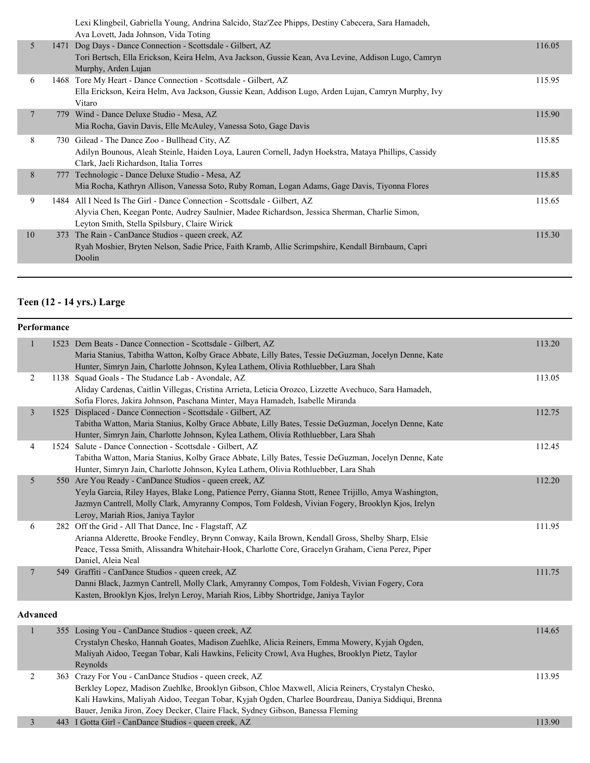|                |      | Lexi Klingbeil, Gabriella Young, Andrina Salcido, Staz'Zee Phipps, Destiny Cabecera, Sara Hamadeh,<br>Ava Lovett, Jada Johnson, Vida Toting                                                                                 |        |
|----------------|------|-----------------------------------------------------------------------------------------------------------------------------------------------------------------------------------------------------------------------------|--------|
| 5              | 1471 | Dog Days - Dance Connection - Scottsdale - Gilbert, AZ<br>Tori Bertsch, Ella Erickson, Keira Helm, Ava Jackson, Gussie Kean, Ava Levine, Addison Lugo, Camryn<br>Murphy, Arden Lujan                                        | 116.05 |
| 6              |      | 1468 Tore My Heart - Dance Connection - Scottsdale - Gilbert, AZ<br>Ella Erickson, Keira Helm, Ava Jackson, Gussie Kean, Addison Lugo, Arden Lujan, Camryn Murphy, Ivy<br>Vitaro                                            | 115.95 |
| $\overline{7}$ |      | 779 Wind - Dance Deluxe Studio - Mesa, AZ<br>Mia Rocha, Gavin Davis, Elle McAuley, Vanessa Soto, Gage Davis                                                                                                                 | 115.90 |
| 8              |      | 730 Gilead - The Dance Zoo - Bullhead City, AZ<br>Adilyn Bounous, Aleah Steinle, Haiden Loya, Lauren Cornell, Jadyn Hoekstra, Mataya Phillips, Cassidy<br>Clark, Jaeli Richardson, Italia Torres                            | 115.85 |
| 8              |      | 777 Technologic - Dance Deluxe Studio - Mesa, AZ<br>Mia Rocha, Kathryn Allison, Vanessa Soto, Ruby Roman, Logan Adams, Gage Davis, Tiyonna Flores                                                                           | 115.85 |
| 9              |      | 1484 All I Need Is The Girl - Dance Connection - Scottsdale - Gilbert, AZ<br>Alyvia Chen, Keegan Ponte, Audrey Saulnier, Madee Richardson, Jessica Sherman, Charlie Simon,<br>Leyton Smith, Stella Spilsbury, Claire Wirick | 115.65 |
| 10             | 373  | The Rain - CanDance Studios - queen creek, AZ<br>Ryah Moshier, Bryten Nelson, Sadie Price, Faith Kramb, Allie Scrimpshire, Kendall Birnbaum, Capri<br>Doolin                                                                | 115.30 |
|                |      |                                                                                                                                                                                                                             |        |

# **Teen (12 - 14 yrs.) Large**

| Performance    |                                                                                                      |                                                                                                                                                                                                                                                                                                                                                                                                                                                                                                                                                                                                                                                                                                                                                                                                                                                                                                                                                                                                                                                                                                                                                                                                                                                                                                                                                                                                                                                                                                                                                                                                                                                                                                                                                                                                                                                                                                                                                                                                  |  |  |
|----------------|------------------------------------------------------------------------------------------------------|--------------------------------------------------------------------------------------------------------------------------------------------------------------------------------------------------------------------------------------------------------------------------------------------------------------------------------------------------------------------------------------------------------------------------------------------------------------------------------------------------------------------------------------------------------------------------------------------------------------------------------------------------------------------------------------------------------------------------------------------------------------------------------------------------------------------------------------------------------------------------------------------------------------------------------------------------------------------------------------------------------------------------------------------------------------------------------------------------------------------------------------------------------------------------------------------------------------------------------------------------------------------------------------------------------------------------------------------------------------------------------------------------------------------------------------------------------------------------------------------------------------------------------------------------------------------------------------------------------------------------------------------------------------------------------------------------------------------------------------------------------------------------------------------------------------------------------------------------------------------------------------------------------------------------------------------------------------------------------------------------|--|--|
| 1              |                                                                                                      | 113.20                                                                                                                                                                                                                                                                                                                                                                                                                                                                                                                                                                                                                                                                                                                                                                                                                                                                                                                                                                                                                                                                                                                                                                                                                                                                                                                                                                                                                                                                                                                                                                                                                                                                                                                                                                                                                                                                                                                                                                                           |  |  |
|                | Maria Stanius, Tabitha Watton, Kolby Grace Abbate, Lilly Bates, Tessie DeGuzman, Jocelyn Denne, Kate |                                                                                                                                                                                                                                                                                                                                                                                                                                                                                                                                                                                                                                                                                                                                                                                                                                                                                                                                                                                                                                                                                                                                                                                                                                                                                                                                                                                                                                                                                                                                                                                                                                                                                                                                                                                                                                                                                                                                                                                                  |  |  |
|                | Hunter, Simryn Jain, Charlotte Johnson, Kylea Lathem, Olivia Rothluebber, Lara Shah                  |                                                                                                                                                                                                                                                                                                                                                                                                                                                                                                                                                                                                                                                                                                                                                                                                                                                                                                                                                                                                                                                                                                                                                                                                                                                                                                                                                                                                                                                                                                                                                                                                                                                                                                                                                                                                                                                                                                                                                                                                  |  |  |
| 2              |                                                                                                      | 113.05                                                                                                                                                                                                                                                                                                                                                                                                                                                                                                                                                                                                                                                                                                                                                                                                                                                                                                                                                                                                                                                                                                                                                                                                                                                                                                                                                                                                                                                                                                                                                                                                                                                                                                                                                                                                                                                                                                                                                                                           |  |  |
|                |                                                                                                      |                                                                                                                                                                                                                                                                                                                                                                                                                                                                                                                                                                                                                                                                                                                                                                                                                                                                                                                                                                                                                                                                                                                                                                                                                                                                                                                                                                                                                                                                                                                                                                                                                                                                                                                                                                                                                                                                                                                                                                                                  |  |  |
|                |                                                                                                      |                                                                                                                                                                                                                                                                                                                                                                                                                                                                                                                                                                                                                                                                                                                                                                                                                                                                                                                                                                                                                                                                                                                                                                                                                                                                                                                                                                                                                                                                                                                                                                                                                                                                                                                                                                                                                                                                                                                                                                                                  |  |  |
| $\mathfrak{Z}$ |                                                                                                      | 112.75                                                                                                                                                                                                                                                                                                                                                                                                                                                                                                                                                                                                                                                                                                                                                                                                                                                                                                                                                                                                                                                                                                                                                                                                                                                                                                                                                                                                                                                                                                                                                                                                                                                                                                                                                                                                                                                                                                                                                                                           |  |  |
|                |                                                                                                      |                                                                                                                                                                                                                                                                                                                                                                                                                                                                                                                                                                                                                                                                                                                                                                                                                                                                                                                                                                                                                                                                                                                                                                                                                                                                                                                                                                                                                                                                                                                                                                                                                                                                                                                                                                                                                                                                                                                                                                                                  |  |  |
|                |                                                                                                      |                                                                                                                                                                                                                                                                                                                                                                                                                                                                                                                                                                                                                                                                                                                                                                                                                                                                                                                                                                                                                                                                                                                                                                                                                                                                                                                                                                                                                                                                                                                                                                                                                                                                                                                                                                                                                                                                                                                                                                                                  |  |  |
| 4              |                                                                                                      | 112.45                                                                                                                                                                                                                                                                                                                                                                                                                                                                                                                                                                                                                                                                                                                                                                                                                                                                                                                                                                                                                                                                                                                                                                                                                                                                                                                                                                                                                                                                                                                                                                                                                                                                                                                                                                                                                                                                                                                                                                                           |  |  |
|                |                                                                                                      |                                                                                                                                                                                                                                                                                                                                                                                                                                                                                                                                                                                                                                                                                                                                                                                                                                                                                                                                                                                                                                                                                                                                                                                                                                                                                                                                                                                                                                                                                                                                                                                                                                                                                                                                                                                                                                                                                                                                                                                                  |  |  |
|                |                                                                                                      |                                                                                                                                                                                                                                                                                                                                                                                                                                                                                                                                                                                                                                                                                                                                                                                                                                                                                                                                                                                                                                                                                                                                                                                                                                                                                                                                                                                                                                                                                                                                                                                                                                                                                                                                                                                                                                                                                                                                                                                                  |  |  |
|                |                                                                                                      | 112.20                                                                                                                                                                                                                                                                                                                                                                                                                                                                                                                                                                                                                                                                                                                                                                                                                                                                                                                                                                                                                                                                                                                                                                                                                                                                                                                                                                                                                                                                                                                                                                                                                                                                                                                                                                                                                                                                                                                                                                                           |  |  |
|                |                                                                                                      |                                                                                                                                                                                                                                                                                                                                                                                                                                                                                                                                                                                                                                                                                                                                                                                                                                                                                                                                                                                                                                                                                                                                                                                                                                                                                                                                                                                                                                                                                                                                                                                                                                                                                                                                                                                                                                                                                                                                                                                                  |  |  |
|                |                                                                                                      |                                                                                                                                                                                                                                                                                                                                                                                                                                                                                                                                                                                                                                                                                                                                                                                                                                                                                                                                                                                                                                                                                                                                                                                                                                                                                                                                                                                                                                                                                                                                                                                                                                                                                                                                                                                                                                                                                                                                                                                                  |  |  |
|                |                                                                                                      |                                                                                                                                                                                                                                                                                                                                                                                                                                                                                                                                                                                                                                                                                                                                                                                                                                                                                                                                                                                                                                                                                                                                                                                                                                                                                                                                                                                                                                                                                                                                                                                                                                                                                                                                                                                                                                                                                                                                                                                                  |  |  |
|                |                                                                                                      | 111.95                                                                                                                                                                                                                                                                                                                                                                                                                                                                                                                                                                                                                                                                                                                                                                                                                                                                                                                                                                                                                                                                                                                                                                                                                                                                                                                                                                                                                                                                                                                                                                                                                                                                                                                                                                                                                                                                                                                                                                                           |  |  |
|                |                                                                                                      |                                                                                                                                                                                                                                                                                                                                                                                                                                                                                                                                                                                                                                                                                                                                                                                                                                                                                                                                                                                                                                                                                                                                                                                                                                                                                                                                                                                                                                                                                                                                                                                                                                                                                                                                                                                                                                                                                                                                                                                                  |  |  |
|                |                                                                                                      |                                                                                                                                                                                                                                                                                                                                                                                                                                                                                                                                                                                                                                                                                                                                                                                                                                                                                                                                                                                                                                                                                                                                                                                                                                                                                                                                                                                                                                                                                                                                                                                                                                                                                                                                                                                                                                                                                                                                                                                                  |  |  |
|                |                                                                                                      | 111.75                                                                                                                                                                                                                                                                                                                                                                                                                                                                                                                                                                                                                                                                                                                                                                                                                                                                                                                                                                                                                                                                                                                                                                                                                                                                                                                                                                                                                                                                                                                                                                                                                                                                                                                                                                                                                                                                                                                                                                                           |  |  |
|                |                                                                                                      |                                                                                                                                                                                                                                                                                                                                                                                                                                                                                                                                                                                                                                                                                                                                                                                                                                                                                                                                                                                                                                                                                                                                                                                                                                                                                                                                                                                                                                                                                                                                                                                                                                                                                                                                                                                                                                                                                                                                                                                                  |  |  |
|                |                                                                                                      |                                                                                                                                                                                                                                                                                                                                                                                                                                                                                                                                                                                                                                                                                                                                                                                                                                                                                                                                                                                                                                                                                                                                                                                                                                                                                                                                                                                                                                                                                                                                                                                                                                                                                                                                                                                                                                                                                                                                                                                                  |  |  |
|                |                                                                                                      |                                                                                                                                                                                                                                                                                                                                                                                                                                                                                                                                                                                                                                                                                                                                                                                                                                                                                                                                                                                                                                                                                                                                                                                                                                                                                                                                                                                                                                                                                                                                                                                                                                                                                                                                                                                                                                                                                                                                                                                                  |  |  |
|                |                                                                                                      |                                                                                                                                                                                                                                                                                                                                                                                                                                                                                                                                                                                                                                                                                                                                                                                                                                                                                                                                                                                                                                                                                                                                                                                                                                                                                                                                                                                                                                                                                                                                                                                                                                                                                                                                                                                                                                                                                                                                                                                                  |  |  |
|                |                                                                                                      | 114.65                                                                                                                                                                                                                                                                                                                                                                                                                                                                                                                                                                                                                                                                                                                                                                                                                                                                                                                                                                                                                                                                                                                                                                                                                                                                                                                                                                                                                                                                                                                                                                                                                                                                                                                                                                                                                                                                                                                                                                                           |  |  |
|                | Crystalyn Chesko, Hannah Goates, Madison Zuehlke, Alicia Reiners, Emma Mowery, Kyjah Ogden,          |                                                                                                                                                                                                                                                                                                                                                                                                                                                                                                                                                                                                                                                                                                                                                                                                                                                                                                                                                                                                                                                                                                                                                                                                                                                                                                                                                                                                                                                                                                                                                                                                                                                                                                                                                                                                                                                                                                                                                                                                  |  |  |
|                | Maliyah Aidoo, Teegan Tobar, Kali Hawkins, Felicity Crowl, Ava Hughes, Brooklyn Pietz, Taylor        |                                                                                                                                                                                                                                                                                                                                                                                                                                                                                                                                                                                                                                                                                                                                                                                                                                                                                                                                                                                                                                                                                                                                                                                                                                                                                                                                                                                                                                                                                                                                                                                                                                                                                                                                                                                                                                                                                                                                                                                                  |  |  |
|                | Reynolds                                                                                             |                                                                                                                                                                                                                                                                                                                                                                                                                                                                                                                                                                                                                                                                                                                                                                                                                                                                                                                                                                                                                                                                                                                                                                                                                                                                                                                                                                                                                                                                                                                                                                                                                                                                                                                                                                                                                                                                                                                                                                                                  |  |  |
| $\overline{2}$ |                                                                                                      | 113.95                                                                                                                                                                                                                                                                                                                                                                                                                                                                                                                                                                                                                                                                                                                                                                                                                                                                                                                                                                                                                                                                                                                                                                                                                                                                                                                                                                                                                                                                                                                                                                                                                                                                                                                                                                                                                                                                                                                                                                                           |  |  |
|                | Berkley Lopez, Madison Zuehlke, Brooklyn Gibson, Chloe Maxwell, Alicia Reiners, Crystalyn Chesko,    |                                                                                                                                                                                                                                                                                                                                                                                                                                                                                                                                                                                                                                                                                                                                                                                                                                                                                                                                                                                                                                                                                                                                                                                                                                                                                                                                                                                                                                                                                                                                                                                                                                                                                                                                                                                                                                                                                                                                                                                                  |  |  |
|                |                                                                                                      |                                                                                                                                                                                                                                                                                                                                                                                                                                                                                                                                                                                                                                                                                                                                                                                                                                                                                                                                                                                                                                                                                                                                                                                                                                                                                                                                                                                                                                                                                                                                                                                                                                                                                                                                                                                                                                                                                                                                                                                                  |  |  |
|                |                                                                                                      |                                                                                                                                                                                                                                                                                                                                                                                                                                                                                                                                                                                                                                                                                                                                                                                                                                                                                                                                                                                                                                                                                                                                                                                                                                                                                                                                                                                                                                                                                                                                                                                                                                                                                                                                                                                                                                                                                                                                                                                                  |  |  |
|                | 5<br>6<br>7<br><b>Advanced</b>                                                                       | 1523 Dem Beats - Dance Connection - Scottsdale - Gilbert, AZ<br>1138 Squad Goals - The Studance Lab - Avondale, AZ<br>Aliday Cardenas, Caitlin Villegas, Cristina Arrieta, Leticia Orozco, Lizzette Avechuco, Sara Hamadeh,<br>Sofia Flores, Jakira Johnson, Paschana Minter, Maya Hamadeh, Isabelle Miranda<br>1525 Displaced - Dance Connection - Scottsdale - Gilbert, AZ<br>Tabitha Watton, Maria Stanius, Kolby Grace Abbate, Lilly Bates, Tessie DeGuzman, Jocelyn Denne, Kate<br>Hunter, Simryn Jain, Charlotte Johnson, Kylea Lathem, Olivia Rothluebber, Lara Shah<br>1524 Salute - Dance Connection - Scottsdale - Gilbert, AZ<br>Tabitha Watton, Maria Stanius, Kolby Grace Abbate, Lilly Bates, Tessie DeGuzman, Jocelyn Denne, Kate<br>Hunter, Simryn Jain, Charlotte Johnson, Kylea Lathem, Olivia Rothluebber, Lara Shah<br>550 Are You Ready - CanDance Studios - queen creek, AZ<br>Yeyla Garcia, Riley Hayes, Blake Long, Patience Perry, Gianna Stott, Renee Trijillo, Amya Washington,<br>Jazmyn Cantrell, Molly Clark, Amyranny Compos, Tom Foldesh, Vivian Fogery, Brooklyn Kjos, Irelyn<br>Leroy, Mariah Rios, Janiya Taylor<br>282 Off the Grid - All That Dance, Inc - Flagstaff, AZ<br>Arianna Alderette, Brooke Fendley, Brynn Conway, Kaila Brown, Kendall Gross, Shelby Sharp, Elsie<br>Peace, Tessa Smith, Alissandra Whitehair-Hook, Charlotte Core, Gracelyn Graham, Ciena Perez, Piper<br>Daniel, Aleia Neal<br>549 Graffiti - CanDance Studios - queen creek, AZ<br>Danni Black, Jazmyn Cantrell, Molly Clark, Amyranny Compos, Tom Foldesh, Vivian Fogery, Cora<br>Kasten, Brooklyn Kjos, Irelyn Leroy, Mariah Rios, Libby Shortridge, Janiya Taylor<br>355 Losing You - CanDance Studios - queen creek, AZ<br>363 Crazy For You - CanDance Studios - queen creek, AZ<br>Kali Hawkins, Maliyah Aidoo, Teegan Tobar, Kyjah Ogden, Charlee Bourdreau, Daniya Siddiqui, Brenna<br>Bauer, Jenika Jiron, Zoey Decker, Claire Flack, Sydney Gibson, Banessa Fleming |  |  |

3 443 I Gotta Girl - CanDance Studios - queen creek, AZ 113.90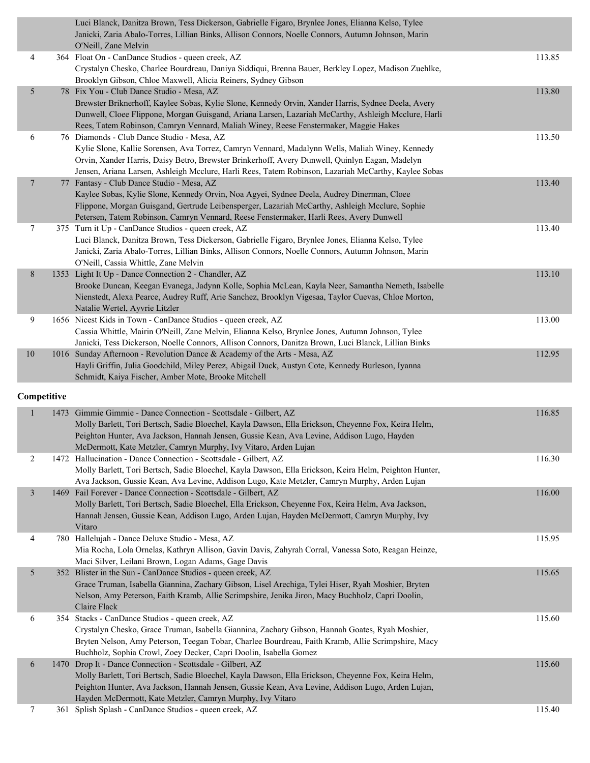|                |      | Luci Blanck, Danitza Brown, Tess Dickerson, Gabrielle Figaro, Brynlee Jones, Elianna Kelso, Tylee<br>Janicki, Zaria Abalo-Torres, Lillian Binks, Allison Connors, Noelle Connors, Autumn Johnson, Marin<br>O'Neill, Zane Melvin                                                                                                                         |        |
|----------------|------|---------------------------------------------------------------------------------------------------------------------------------------------------------------------------------------------------------------------------------------------------------------------------------------------------------------------------------------------------------|--------|
| 4              |      | 364 Float On - CanDance Studios - queen creek, AZ<br>Crystalyn Chesko, Charlee Bourdreau, Daniya Siddiqui, Brenna Bauer, Berkley Lopez, Madison Zuehlke,                                                                                                                                                                                                | 113.85 |
| 5              |      | Brooklyn Gibson, Chloe Maxwell, Alicia Reiners, Sydney Gibson<br>78 Fix You - Club Dance Studio - Mesa, AZ                                                                                                                                                                                                                                              | 113.80 |
|                |      | Brewster Briknerhoff, Kaylee Sobas, Kylie Slone, Kennedy Orvin, Xander Harris, Sydnee Deela, Avery<br>Dunwell, Cloee Flippone, Morgan Guisgand, Ariana Larsen, Lazariah McCarthy, Ashleigh Mcclure, Harli<br>Rees, Tatem Robinson, Camryn Vennard, Maliah Winey, Reese Fenstermaker, Maggie Hakes                                                       |        |
| 6              |      | 76 Diamonds - Club Dance Studio - Mesa, AZ<br>Kylie Slone, Kallie Sorensen, Ava Torrez, Camryn Vennard, Madalynn Wells, Maliah Winey, Kennedy<br>Orvin, Xander Harris, Daisy Betro, Brewster Brinkerhoff, Avery Dunwell, Quinlyn Eagan, Madelyn<br>Jensen, Ariana Larsen, Ashleigh Mcclure, Harli Rees, Tatem Robinson, Lazariah McCarthy, Kaylee Sobas | 113.50 |
| $\overline{7}$ |      | 77 Fantasy - Club Dance Studio - Mesa, AZ<br>Kaylee Sobas, Kylie Slone, Kennedy Orvin, Noa Agyei, Sydnee Deela, Audrey Dinerman, Cloee<br>Flippone, Morgan Guisgand, Gertrude Leibensperger, Lazariah McCarthy, Ashleigh Mcclure, Sophie<br>Petersen, Tatem Robinson, Camryn Vennard, Reese Fenstermaker, Harli Rees, Avery Dunwell                     | 113.40 |
| $\tau$         |      | 375 Turn it Up - CanDance Studios - queen creek, AZ<br>Luci Blanck, Danitza Brown, Tess Dickerson, Gabrielle Figaro, Brynlee Jones, Elianna Kelso, Tylee<br>Janicki, Zaria Abalo-Torres, Lillian Binks, Allison Connors, Noelle Connors, Autumn Johnson, Marin<br>O'Neill, Cassia Whittle, Zane Melvin                                                  | 113.40 |
| 8              |      | 1353 Light It Up - Dance Connection 2 - Chandler, AZ<br>Brooke Duncan, Keegan Evanega, Jadynn Kolle, Sophia McLean, Kayla Neer, Samantha Nemeth, Isabelle<br>Nienstedt, Alexa Pearce, Audrey Ruff, Arie Sanchez, Brooklyn Vigesaa, Taylor Cuevas, Chloe Morton,<br>Natalie Wertel, Ayvrie Litzler                                                       | 113.10 |
| 9              |      | 1656 Nicest Kids in Town - CanDance Studios - queen creek, AZ<br>Cassia Whittle, Mairin O'Neill, Zane Melvin, Elianna Kelso, Brynlee Jones, Autumn Johnson, Tylee<br>Janicki, Tess Dickerson, Noelle Connors, Allison Connors, Danitza Brown, Luci Blanck, Lillian Binks                                                                                | 113.00 |
| $10\,$         |      | 1016 Sunday Afternoon - Revolution Dance & Academy of the Arts - Mesa, AZ<br>Hayli Griffin, Julia Goodchild, Miley Perez, Abigail Duck, Austyn Cote, Kennedy Burleson, Iyanna<br>Schmidt, Kaiya Fischer, Amber Mote, Brooke Mitchell                                                                                                                    | 112.95 |
| Competitive    |      |                                                                                                                                                                                                                                                                                                                                                         |        |
| $\mathbf{1}$   | 1473 | Gimmie Gimmie - Dance Connection - Scottsdale - Gilbert, AZ<br>Molly Barlett, Tori Bertsch, Sadie Bloechel, Kayla Dawson, Ella Erickson, Cheyenne Fox, Keira Helm,<br>Peighton Hunter, Ava Jackson, Hannah Jensen, Gussie Kean, Ava Levine, Addison Lugo, Hayden<br>McDermott, Kate Metzler, Camryn Murphy, Ivy Vitaro, Arden Lujan                     | 116.85 |
| 2              |      | 1472 Hallucination - Dance Connection - Scottsdale - Gilbert, AZ<br>Molly Barlett, Tori Bertsch, Sadie Bloechel, Kayla Dawson, Ella Erickson, Keira Helm, Peighton Hunter,<br>Ava Jackson, Gussie Kean, Ava Levine, Addison Lugo, Kate Metzler, Camryn Murphy, Arden Lujan                                                                              | 116.30 |
| $\mathfrak{Z}$ |      | 1469 Fail Forever - Dance Connection - Scottsdale - Gilbert, AZ<br>Molly Barlett, Tori Bertsch, Sadie Bloechel, Ella Erickson, Cheyenne Fox, Keira Helm, Ava Jackson,<br>Hannah Jensen, Gussie Kean, Addison Lugo, Arden Lujan, Hayden McDermott, Camryn Murphy, Ivy<br>Vitaro                                                                          | 116.00 |
| 4              |      | 780 Hallelujah - Dance Deluxe Studio - Mesa, AZ<br>Mia Rocha, Lola Ornelas, Kathryn Allison, Gavin Davis, Zahyrah Corral, Vanessa Soto, Reagan Heinze,<br>Maci Silver, Leilani Brown, Logan Adams, Gage Davis                                                                                                                                           | 115.95 |
| 5              |      | 352 Blister in the Sun - CanDance Studios - queen creek, AZ<br>Grace Truman, Isabella Giannina, Zachary Gibson, Lisel Arechiga, Tylei Hiser, Ryah Moshier, Bryten<br>Nelson, Amy Peterson, Faith Kramb, Allie Scrimpshire, Jenika Jiron, Macy Buchholz, Capri Doolin,<br>Claire Flack                                                                   | 115.65 |
| 6              |      | 354 Stacks - CanDance Studios - queen creek, AZ<br>Crystalyn Chesko, Grace Truman, Isabella Giannina, Zachary Gibson, Hannah Goates, Ryah Moshier,<br>Bryten Nelson, Amy Peterson, Teegan Tobar, Charlee Bourdreau, Faith Kramb, Allie Scrimpshire, Macy<br>Buchholz, Sophia Crowl, Zoey Decker, Capri Doolin, Isabella Gomez                           | 115.60 |
| 6              |      | 1470 Drop It - Dance Connection - Scottsdale - Gilbert, AZ<br>Molly Barlett, Tori Bertsch, Sadie Bloechel, Kayla Dawson, Ella Erickson, Cheyenne Fox, Keira Helm,<br>Peighton Hunter, Ava Jackson, Hannah Jensen, Gussie Kean, Ava Levine, Addison Lugo, Arden Lujan,<br>Hayden McDermott, Kate Metzler, Camryn Murphy, Ivy Vitaro                      | 115.60 |
| 7              |      | 361 Splish Splash - CanDance Studios - queen creek, AZ                                                                                                                                                                                                                                                                                                  | 115.40 |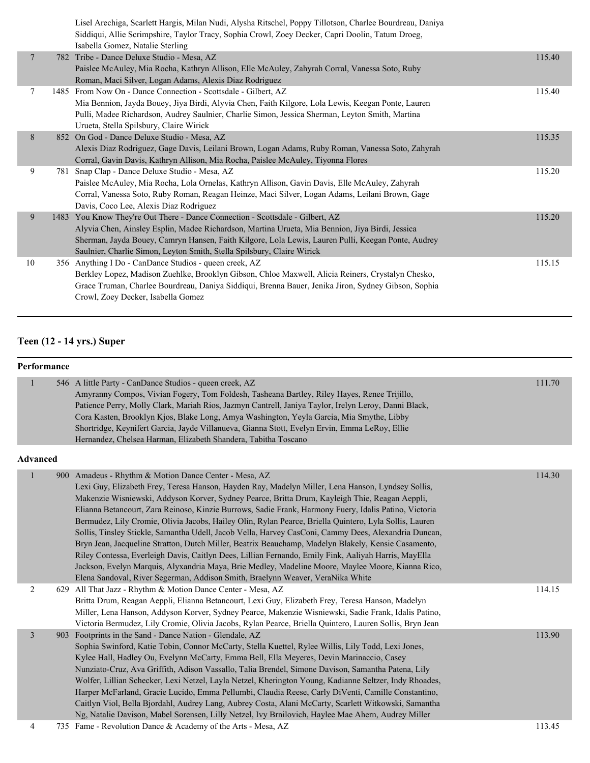|    |     | Lisel Arechiga, Scarlett Hargis, Milan Nudi, Alysha Ritschel, Poppy Tillotson, Charlee Bourdreau, Daniya<br>Siddiqui, Allie Scrimpshire, Taylor Tracy, Sophia Crowl, Zoey Decker, Capri Doolin, Tatum Droeg,<br>Isabella Gomez, Natalie Sterling |        |
|----|-----|--------------------------------------------------------------------------------------------------------------------------------------------------------------------------------------------------------------------------------------------------|--------|
| 7  |     | 782 Tribe - Dance Deluxe Studio - Mesa, AZ                                                                                                                                                                                                       | 115.40 |
|    |     | Paislee McAuley, Mia Rocha, Kathryn Allison, Elle McAuley, Zahyrah Corral, Vanessa Soto, Ruby                                                                                                                                                    |        |
|    |     | Roman, Maci Silver, Logan Adams, Alexis Diaz Rodriguez                                                                                                                                                                                           |        |
| 7  |     | 1485 From Now On - Dance Connection - Scottsdale - Gilbert, AZ                                                                                                                                                                                   | 115.40 |
|    |     | Mia Bennion, Jayda Bouey, Jiya Birdi, Alyvia Chen, Faith Kilgore, Lola Lewis, Keegan Ponte, Lauren                                                                                                                                               |        |
|    |     | Pulli, Madee Richardson, Audrey Saulnier, Charlie Simon, Jessica Sherman, Leyton Smith, Martina                                                                                                                                                  |        |
|    |     | Urueta, Stella Spilsbury, Claire Wirick                                                                                                                                                                                                          |        |
| 8  |     | 852 On God - Dance Deluxe Studio - Mesa, AZ                                                                                                                                                                                                      | 115.35 |
|    |     | Alexis Diaz Rodriguez, Gage Davis, Leilani Brown, Logan Adams, Ruby Roman, Vanessa Soto, Zahyrah                                                                                                                                                 |        |
|    |     | Corral, Gavin Davis, Kathryn Allison, Mia Rocha, Paislee McAuley, Tiyonna Flores                                                                                                                                                                 |        |
| 9  | 781 | Snap Clap - Dance Deluxe Studio - Mesa, AZ                                                                                                                                                                                                       | 115.20 |
|    |     | Paislee McAuley, Mia Rocha, Lola Ornelas, Kathryn Allison, Gavin Davis, Elle McAuley, Zahyrah                                                                                                                                                    |        |
|    |     | Corral, Vanessa Soto, Ruby Roman, Reagan Heinze, Maci Silver, Logan Adams, Leilani Brown, Gage                                                                                                                                                   |        |
|    |     | Davis, Coco Lee, Alexis Diaz Rodriguez                                                                                                                                                                                                           |        |
| 9  |     | 1483 You Know They're Out There - Dance Connection - Scottsdale - Gilbert, AZ                                                                                                                                                                    | 115.20 |
|    |     | Alyvia Chen, Ainsley Esplin, Madee Richardson, Martina Urueta, Mia Bennion, Jiya Birdi, Jessica                                                                                                                                                  |        |
|    |     | Sherman, Jayda Bouey, Camryn Hansen, Faith Kilgore, Lola Lewis, Lauren Pulli, Keegan Ponte, Audrey                                                                                                                                               |        |
|    |     | Saulnier, Charlie Simon, Leyton Smith, Stella Spilsbury, Claire Wirick                                                                                                                                                                           |        |
| 10 |     | 356 Anything I Do - CanDance Studios - queen creek, AZ                                                                                                                                                                                           | 115.15 |
|    |     | Berkley Lopez, Madison Zuehlke, Brooklyn Gibson, Chloe Maxwell, Alicia Reiners, Crystalyn Chesko,                                                                                                                                                |        |
|    |     | Grace Truman, Charlee Bourdreau, Daniya Siddiqui, Brenna Bauer, Jenika Jiron, Sydney Gibson, Sophia                                                                                                                                              |        |
|    |     | Crowl, Zoey Decker, Isabella Gomez                                                                                                                                                                                                               |        |
|    |     |                                                                                                                                                                                                                                                  |        |

#### **Teen (12 - 14 yrs.) Super**

### **Performance** 1 546 A little Party - CanDance Studios - queen creek, AZ 111.70 Amyranny Compos, Vivian Fogery, Tom Foldesh, Tasheana Bartley, Riley Hayes, Renee Trijillo, Patience Perry, Molly Clark, Mariah Rios, Jazmyn Cantrell, Janiya Taylor, Irelyn Leroy, Danni Black, Cora Kasten, Brooklyn Kjos, Blake Long, Amya Washington, Yeyla Garcia, Mia Smythe, Libby Shortridge, Keynifert Garcia, Jayde Villanueva, Gianna Stott, Evelyn Ervin, Emma LeRoy, Ellie Hernandez, Chelsea Harman, Elizabeth Shandera, Tabitha Toscano **Advanced** 1 900 Amadeus - Rhythm & Motion Dance Center - Mesa, AZ 114.30 Lexi Guy, Elizabeth Frey, Teresa Hanson, Hayden Ray, Madelyn Miller, Lena Hanson, Lyndsey Sollis, Makenzie Wisniewski, Addyson Korver, Sydney Pearce, Britta Drum, Kayleigh Thie, Reagan Aeppli, Elianna Betancourt, Zara Reinoso, Kinzie Burrows, Sadie Frank, Harmony Fuery, Idalis Patino, Victoria Bermudez, Lily Cromie, Olivia Jacobs, Hailey Olin, Rylan Pearce, Briella Quintero, Lyla Sollis, Lauren Sollis, Tinsley Stickle, Samantha Udell, Jacob Vella, Harvey CasConi, Cammy Dees, Alexandria Duncan, Bryn Jean, Jacqueline Stratton, Dutch Miller, Beatrix Beauchamp, Madelyn Blakely, Kensie Casamento, Riley Contessa, Everleigh Davis, Caitlyn Dees, Lillian Fernando, Emily Fink, Aaliyah Harris, MayElla Jackson, Evelyn Marquis, Alyxandria Maya, Brie Medley, Madeline Moore, Maylee Moore, Kianna Rico, Elena Sandoval, River Segerman, Addison Smith, Braelynn Weaver, VeraNika White 2 629 All That Jazz - Rhythm & Motion Dance Center - Mesa, AZ 114.15 Britta Drum, Reagan Aeppli, Elianna Betancourt, Lexi Guy, Elizabeth Frey, Teresa Hanson, Madelyn Miller, Lena Hanson, Addyson Korver, Sydney Pearce, Makenzie Wisniewski, Sadie Frank, Idalis Patino, Victoria Bermudez, Lily Cromie, Olivia Jacobs, Rylan Pearce, Briella Quintero, Lauren Sollis, Bryn Jean 3 903 Footprints in the Sand - Dance Nation - Glendale, AZ 113.90 Sophia Swinford, Katie Tobin, Connor McCarty, Stella Kuettel, Rylee Willis, Lily Todd, Lexi Jones, Kylee Hall, Hadley Ou, Evelynn McCarty, Emma Bell, Ella Meyeres, Devin Marinaccio, Casey Nunziato-Cruz, Ava Griffith, Adison Vassallo, Talia Brendel, Simone Davison, Samantha Patena, Lily Wolfer, Lillian Schecker, Lexi Netzel, Layla Netzel, Kherington Young, Kadianne Seltzer, Indy Rhoades, Harper McFarland, Gracie Lucido, Emma Pellumbi, Claudia Reese, Carly DiVenti, Camille Constantino, Caitlyn Viol, Bella Bjordahl, Audrey Lang, Aubrey Costa, Alani McCarty, Scarlett Witkowski, Samantha Ng, Natalie Davison, Mabel Sorensen, Lilly Netzel, Ivy Brnilovich, Haylee Mae Ahern, Audrey Miller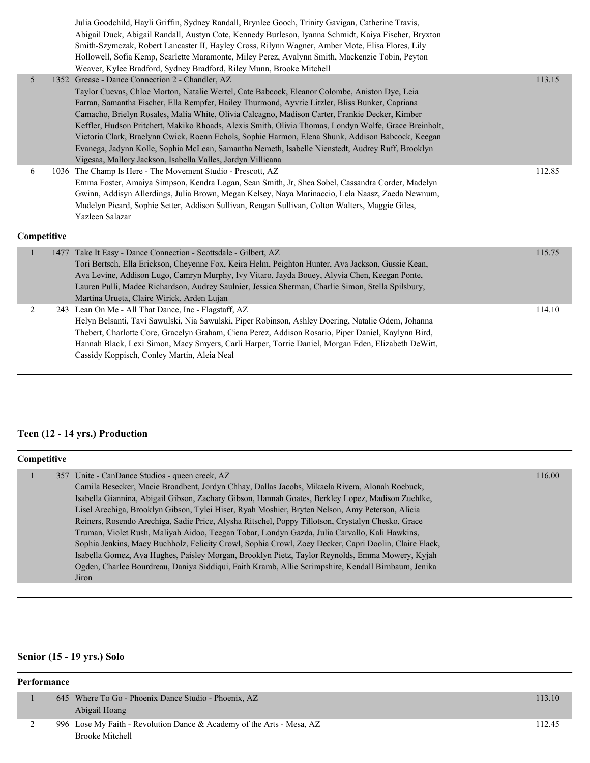|             | Julia Goodchild, Hayli Griffin, Sydney Randall, Brynlee Gooch, Trinity Gavigan, Catherine Travis,<br>Abigail Duck, Abigail Randall, Austyn Cote, Kennedy Burleson, Iyanna Schmidt, Kaiya Fischer, Bryxton<br>Smith-Szymczak, Robert Lancaster II, Hayley Cross, Rilynn Wagner, Amber Mote, Elisa Flores, Lily<br>Hollowell, Sofia Kemp, Scarlette Maramonte, Miley Perez, Avalynn Smith, Mackenzie Tobin, Peyton<br>Weaver, Kylee Bradford, Sydney Bradford, Riley Munn, Brooke Mitchell                                                                                                                                                                                                                                               |        |
|-------------|----------------------------------------------------------------------------------------------------------------------------------------------------------------------------------------------------------------------------------------------------------------------------------------------------------------------------------------------------------------------------------------------------------------------------------------------------------------------------------------------------------------------------------------------------------------------------------------------------------------------------------------------------------------------------------------------------------------------------------------|--------|
| 5           | 1352 Grease - Dance Connection 2 - Chandler, AZ<br>Taylor Cuevas, Chloe Morton, Natalie Wertel, Cate Babcock, Eleanor Colombe, Aniston Dye, Leia<br>Farran, Samantha Fischer, Ella Rempfer, Hailey Thurmond, Ayvrie Litzler, Bliss Bunker, Capriana<br>Camacho, Brielyn Rosales, Malia White, Olivia Calcagno, Madison Carter, Frankie Decker, Kimber<br>Keffler, Hudson Pritchett, Makiko Rhoads, Alexis Smith, Olivia Thomas, Londyn Wolfe, Grace Breinholt,<br>Victoria Clark, Braelynn Cwick, Roenn Echols, Sophie Harmon, Elena Shunk, Addison Babcock, Keegan<br>Evanega, Jadynn Kolle, Sophia McLean, Samantha Nemeth, Isabelle Nienstedt, Audrey Ruff, Brooklyn<br>Vigesaa, Mallory Jackson, Isabella Valles, Jordyn Villicana | 113.15 |
| 6           | 1036 The Champ Is Here - The Movement Studio - Prescott, AZ<br>Emma Foster, Amaiya Simpson, Kendra Logan, Sean Smith, Jr, Shea Sobel, Cassandra Corder, Madelyn<br>Gwinn, Addisyn Allerdings, Julia Brown, Megan Kelsey, Naya Marinaccio, Lela Naasz, Zaeda Newnum,<br>Madelyn Picard, Sophie Setter, Addison Sullivan, Reagan Sullivan, Colton Walters, Maggie Giles,<br>Yazleen Salazar                                                                                                                                                                                                                                                                                                                                              | 112.85 |
| Competitive |                                                                                                                                                                                                                                                                                                                                                                                                                                                                                                                                                                                                                                                                                                                                        |        |
| 1           | 1477 Take It Easy - Dance Connection - Scottsdale - Gilbert, AZ<br>Tori Bertsch, Ella Erickson, Cheyenne Fox, Keira Helm, Peighton Hunter, Ava Jackson, Gussie Kean,<br>Ava Levine, Addison Lugo, Camryn Murphy, Ivy Vitaro, Jayda Bouey, Alyvia Chen, Keegan Ponte,<br>Lauren Pulli, Madee Richardson, Audrey Saulnier, Jessica Sherman, Charlie Simon, Stella Spilsbury,<br>Martina Urueta, Claire Wirick, Arden Lujan                                                                                                                                                                                                                                                                                                               | 115.75 |
| 2           | 243 Lean On Me - All That Dance, Inc - Flagstaff, AZ<br>Helyn Belsanti, Tavi Sawulski, Nia Sawulski, Piper Robinson, Ashley Doering, Natalie Odem, Johanna<br>Thebert, Charlotte Core, Gracelyn Graham, Ciena Perez, Addison Rosario, Piper Daniel, Kaylynn Bird,<br>Hannah Black, Lexi Simon, Macy Smyers, Carli Harper, Torrie Daniel, Morgan Eden, Elizabeth DeWitt,<br>Cassidy Koppisch, Conley Martin, Aleia Neal                                                                                                                                                                                                                                                                                                                 | 114.10 |

# **Teen (12 - 14 yrs.) Production**

| <b>Competitive</b> |  |                                                                                                       |        |  |  |
|--------------------|--|-------------------------------------------------------------------------------------------------------|--------|--|--|
|                    |  | 357 Unite - CanDance Studios - queen creek, AZ                                                        | 116.00 |  |  |
|                    |  | Camila Besecker, Macie Broadbent, Jordyn Chhay, Dallas Jacobs, Mikaela Rivera, Alonah Roebuck,        |        |  |  |
|                    |  | Isabella Giannina, Abigail Gibson, Zachary Gibson, Hannah Goates, Berkley Lopez, Madison Zuehlke,     |        |  |  |
|                    |  | Lisel Arechiga, Brooklyn Gibson, Tylei Hiser, Ryah Moshier, Bryten Nelson, Amy Peterson, Alicia       |        |  |  |
|                    |  | Reiners, Rosendo Arechiga, Sadie Price, Alysha Ritschel, Poppy Tillotson, Crystalyn Chesko, Grace     |        |  |  |
|                    |  | Truman, Violet Rush, Maliyah Aidoo, Teegan Tobar, Londyn Gazda, Julia Carvallo, Kali Hawkins,         |        |  |  |
|                    |  | Sophia Jenkins, Macy Buchholz, Felicity Crowl, Sophia Crowl, Zoey Decker, Capri Doolin, Claire Flack, |        |  |  |
|                    |  | Isabella Gomez, Ava Hughes, Paisley Morgan, Brooklyn Pietz, Taylor Reynolds, Emma Mowery, Kyjah       |        |  |  |
|                    |  | Ogden, Charlee Bourdreau, Daniya Siddiqui, Faith Kramb, Allie Scrimpshire, Kendall Birnbaum, Jenika   |        |  |  |
|                    |  | Jiron                                                                                                 |        |  |  |

# **Senior (15 - 19 yrs.) Solo**

| Performance |  |                                                                       |        |  |
|-------------|--|-----------------------------------------------------------------------|--------|--|
|             |  | 645 Where To Go - Phoenix Dance Studio - Phoenix, AZ                  | 113.10 |  |
|             |  | Abigail Hoang                                                         |        |  |
|             |  | 996 Lose My Faith - Revolution Dance & Academy of the Arts - Mesa, AZ | 112.45 |  |
|             |  | <b>Brooke Mitchell</b>                                                |        |  |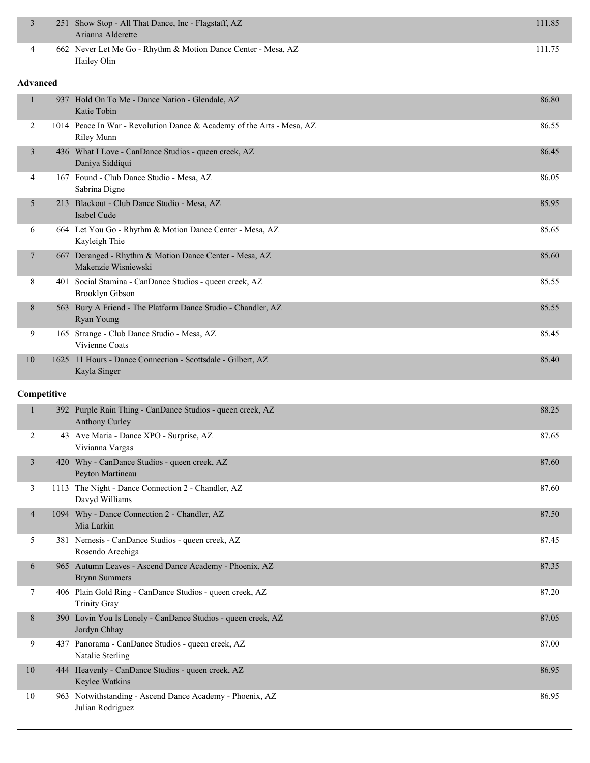| $\overline{3}$  | 251 Show Stop - All That Dance, Inc - Flagstaff, AZ<br>Arianna Alderette                   | 111.85 |
|-----------------|--------------------------------------------------------------------------------------------|--------|
| 4               | 662 Never Let Me Go - Rhythm & Motion Dance Center - Mesa, AZ<br>Hailey Olin               | 111.75 |
| <b>Advanced</b> |                                                                                            |        |
| $\mathbf{1}$    | 937 Hold On To Me - Dance Nation - Glendale, AZ<br>Katie Tobin                             | 86.80  |
| 2               | 1014 Peace In War - Revolution Dance & Academy of the Arts - Mesa, AZ<br><b>Riley Munn</b> | 86.55  |
| 3               | 436 What I Love - CanDance Studios - queen creek, AZ<br>Daniya Siddiqui                    | 86.45  |
| 4               | 167 Found - Club Dance Studio - Mesa, AZ<br>Sabrina Digne                                  | 86.05  |
| 5               | 213 Blackout - Club Dance Studio - Mesa, AZ<br>Isabel Cude                                 | 85.95  |
| 6               | 664 Let You Go - Rhythm & Motion Dance Center - Mesa, AZ<br>Kayleigh Thie                  | 85.65  |
| 7               | 667 Deranged - Rhythm & Motion Dance Center - Mesa, AZ<br>Makenzie Wisniewski              | 85.60  |
| 8               | 401 Social Stamina - CanDance Studios - queen creek, AZ<br>Brooklyn Gibson                 | 85.55  |
| 8               | 563 Bury A Friend - The Platform Dance Studio - Chandler, AZ<br>Ryan Young                 | 85.55  |
| 9               | 165 Strange - Club Dance Studio - Mesa, AZ<br>Vivienne Coats                               | 85.45  |
| 10              | 1625 11 Hours - Dance Connection - Scottsdale - Gilbert, AZ<br>Kayla Singer                | 85.40  |
| Competitive     |                                                                                            |        |
| $\mathbf{1}$    | 392 Purple Rain Thing - CanDance Studios - queen creek, AZ<br><b>Anthony Curley</b>        | 88.25  |
| $\overline{2}$  | 43 Ave Maria - Dance XPO - Surprise, AZ<br>Vivianna Vargas                                 | 87.65  |
| $\mathfrak{Z}$  | 420 Why - CanDance Studios - queen creek, AZ<br>Peyton Martineau                           | 87.60  |
| 3               | 1113 The Night - Dance Connection 2 - Chandler, AZ<br>Davyd Williams                       | 87.60  |
| 4               | 1094 Why - Dance Connection 2 - Chandler, AZ<br>Mia Larkin                                 | 87.50  |
| 5               | 381 Nemesis - CanDance Studios - queen creek, AZ<br>Rosendo Arechiga                       | 87.45  |
| 6               | 965 Autumn Leaves - Ascend Dance Academy - Phoenix, AZ<br><b>Brynn Summers</b>             | 87.35  |
| 7               | 406 Plain Gold Ring - CanDance Studios - queen creek, AZ<br><b>Trinity Gray</b>            | 87.20  |
| 8               | 390 Lovin You Is Lonely - CanDance Studios - queen creek, AZ<br>Jordyn Chhay               | 87.05  |
| 9               | 437 Panorama - CanDance Studios - queen creek, AZ<br>Natalie Sterling                      | 87.00  |
| 10              | 444 Heavenly - CanDance Studios - queen creek, AZ                                          | 86.95  |

Keylee Watkins 10 963 Notwithstanding - Ascend Dance Academy - Phoenix, AZ 86.95 Julian Rodriguez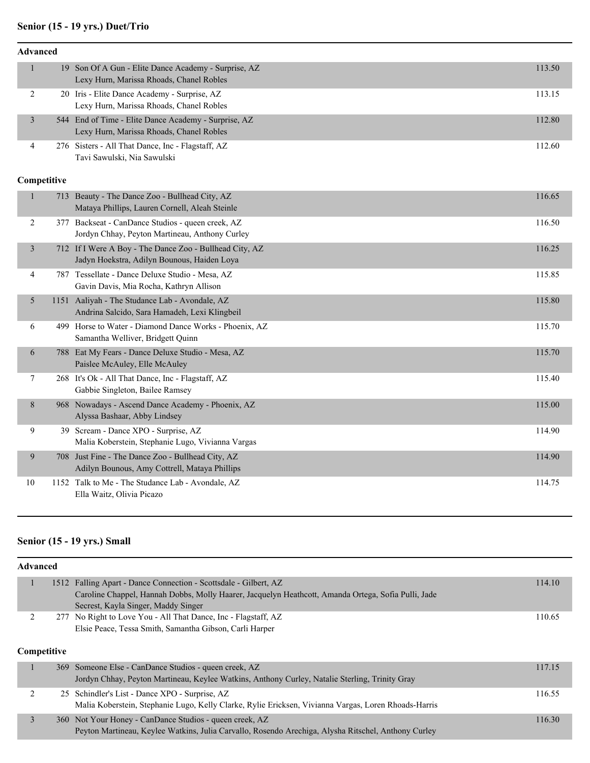### **Senior (15 - 19 yrs.) Duet/Trio**

| <b>Advanced</b> |             |                                                                                                        |        |  |  |  |
|-----------------|-------------|--------------------------------------------------------------------------------------------------------|--------|--|--|--|
| $\mathbf{1}$    |             | 19 Son Of A Gun - Elite Dance Academy - Surprise, AZ<br>Lexy Hurn, Marissa Rhoads, Chanel Robles       | 113.50 |  |  |  |
| $\overline{c}$  |             | 20 Iris - Elite Dance Academy - Surprise, AZ<br>Lexy Hurn, Marissa Rhoads, Chanel Robles               | 113.15 |  |  |  |
| $\mathfrak{Z}$  |             | 544 End of Time - Elite Dance Academy - Surprise, AZ<br>Lexy Hurn, Marissa Rhoads, Chanel Robles       | 112.80 |  |  |  |
| 4               |             | 276 Sisters - All That Dance, Inc - Flagstaff, AZ<br>Tavi Sawulski, Nia Sawulski                       | 112.60 |  |  |  |
|                 | Competitive |                                                                                                        |        |  |  |  |
| $\mathbf{1}$    |             | 713 Beauty - The Dance Zoo - Bullhead City, AZ<br>Mataya Phillips, Lauren Cornell, Aleah Steinle       | 116.65 |  |  |  |
| $\overline{c}$  |             | 377 Backseat - CanDance Studios - queen creek, AZ<br>Jordyn Chhay, Peyton Martineau, Anthony Curley    | 116.50 |  |  |  |
| $\overline{3}$  |             | 712 If I Were A Boy - The Dance Zoo - Bullhead City, AZ<br>Jadyn Hoekstra, Adilyn Bounous, Haiden Loya | 116.25 |  |  |  |
| $\overline{4}$  |             | 787 Tessellate - Dance Deluxe Studio - Mesa, AZ<br>Gavin Davis, Mia Rocha, Kathryn Allison             | 115.85 |  |  |  |
| 5               |             | 1151 Aaliyah - The Studance Lab - Avondale, AZ<br>Andrina Salcido, Sara Hamadeh, Lexi Klingbeil        | 115.80 |  |  |  |
| 6               |             | 499 Horse to Water - Diamond Dance Works - Phoenix, AZ<br>Samantha Welliver, Bridgett Quinn            | 115.70 |  |  |  |
| 6               |             | 788 Eat My Fears - Dance Deluxe Studio - Mesa, AZ<br>Paislee McAuley, Elle McAuley                     | 115.70 |  |  |  |
| $\tau$          |             | 268 It's Ok - All That Dance, Inc - Flagstaff, AZ<br>Gabbie Singleton, Bailee Ramsey                   | 115.40 |  |  |  |
| 8               |             | 968 Nowadays - Ascend Dance Academy - Phoenix, AZ<br>Alyssa Bashaar, Abby Lindsey                      | 115.00 |  |  |  |
| 9               |             | 39 Scream - Dance XPO - Surprise, AZ<br>Malia Koberstein, Stephanie Lugo, Vivianna Vargas              | 114.90 |  |  |  |
| 9               |             | 708 Just Fine - The Dance Zoo - Bullhead City, AZ<br>Adilyn Bounous, Amy Cottrell, Mataya Phillips     | 114.90 |  |  |  |
| 10              |             | 1152 Talk to Me - The Studance Lab - Avondale, AZ<br>Ella Waitz, Olivia Picazo                         | 114.75 |  |  |  |

# **Senior (15 - 19 yrs.) Small**

| <b>Advanced</b>    |  |                                                                                                      |        |  |  |
|--------------------|--|------------------------------------------------------------------------------------------------------|--------|--|--|
| п                  |  | 1512 Falling Apart - Dance Connection - Scottsdale - Gilbert, AZ                                     | 114.10 |  |  |
|                    |  | Caroline Chappel, Hannah Dobbs, Molly Haarer, Jacquelyn Heathcott, Amanda Ortega, Sofia Pulli, Jade  |        |  |  |
|                    |  | Secrest, Kayla Singer, Maddy Singer                                                                  |        |  |  |
|                    |  | 277 No Right to Love You - All That Dance, Inc - Flagstaff, AZ                                       | 110.65 |  |  |
|                    |  | Elsie Peace, Tessa Smith, Samantha Gibson, Carli Harper                                              |        |  |  |
|                    |  |                                                                                                      |        |  |  |
| <b>Competitive</b> |  |                                                                                                      |        |  |  |
|                    |  | 369 Someone Else - CanDance Studios - queen creek, AZ                                                | 117.15 |  |  |
|                    |  | Jordyn Chhay, Peyton Martineau, Keylee Watkins, Anthony Curley, Natalie Sterling, Trinity Gray       |        |  |  |
| 2                  |  | 25 Schindler's List - Dance XPO - Surprise, AZ                                                       | 116.55 |  |  |
|                    |  | Malia Koberstein, Stephanie Lugo, Kelly Clarke, Rylie Ericksen, Vivianna Vargas, Loren Rhoads-Harris |        |  |  |
| 3                  |  | 360 Not Your Honey - CanDance Studios - queen creek, AZ                                              | 116.30 |  |  |
|                    |  | Peyton Martineau, Keylee Watkins, Julia Carvallo, Rosendo Arechiga, Alysha Ritschel, Anthony Curley  |        |  |  |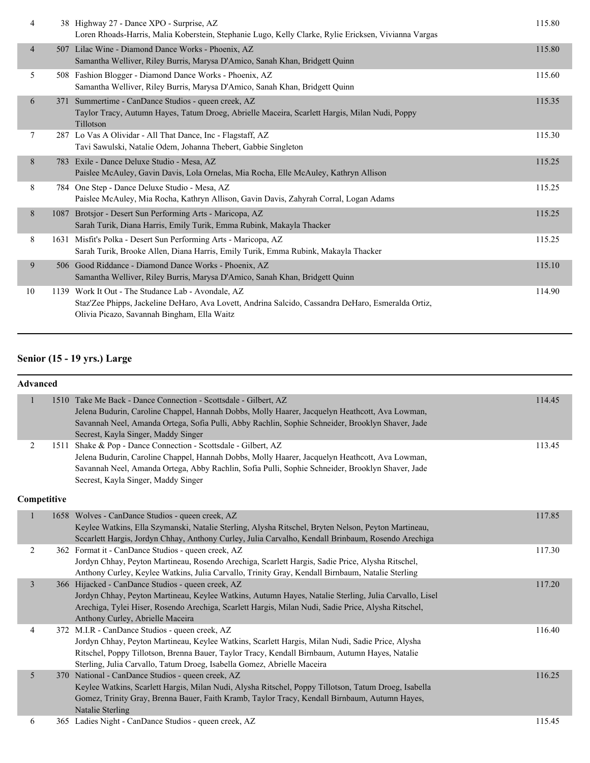| 4              |     | 38 Highway 27 - Dance XPO - Surprise, AZ<br>Loren Rhoads-Harris, Malia Koberstein, Stephanie Lugo, Kelly Clarke, Rylie Ericksen, Vivianna Vargas                                                        | 115.80 |
|----------------|-----|---------------------------------------------------------------------------------------------------------------------------------------------------------------------------------------------------------|--------|
| $\overline{4}$ |     | 507 Lilac Wine - Diamond Dance Works - Phoenix, AZ<br>Samantha Welliver, Riley Burris, Marysa D'Amico, Sanah Khan, Bridgett Quinn                                                                       | 115.80 |
| 5              |     | 508 Fashion Blogger - Diamond Dance Works - Phoenix, AZ<br>Samantha Welliver, Riley Burris, Marysa D'Amico, Sanah Khan, Bridgett Quinn                                                                  | 115.60 |
| 6              | 371 | Summertime - CanDance Studios - queen creek, AZ<br>Taylor Tracy, Autumn Hayes, Tatum Droeg, Abrielle Maceira, Scarlett Hargis, Milan Nudi, Poppy<br>Tillotson                                           | 115.35 |
| 7              |     | 287 Lo Vas A Olividar - All That Dance, Inc - Flagstaff, AZ<br>Tavi Sawulski, Natalie Odem, Johanna Thebert, Gabbie Singleton                                                                           | 115.30 |
| 8              |     | 783 Exile - Dance Deluxe Studio - Mesa, AZ<br>Paislee McAuley, Gavin Davis, Lola Ornelas, Mia Rocha, Elle McAuley, Kathryn Allison                                                                      | 115.25 |
| 8              |     | 784 One Step - Dance Deluxe Studio - Mesa, AZ<br>Paislee McAuley, Mia Rocha, Kathryn Allison, Gavin Davis, Zahyrah Corral, Logan Adams                                                                  | 115.25 |
| 8              |     | 1087 Brotsjor - Desert Sun Performing Arts - Maricopa, AZ<br>Sarah Turik, Diana Harris, Emily Turik, Emma Rubink, Makayla Thacker                                                                       | 115.25 |
| 8              |     | 1631 Misfit's Polka - Desert Sun Performing Arts - Maricopa, AZ<br>Sarah Turik, Brooke Allen, Diana Harris, Emily Turik, Emma Rubink, Makayla Thacker                                                   | 115.25 |
| 9              |     | 506 Good Riddance - Diamond Dance Works - Phoenix, AZ<br>Samantha Welliver, Riley Burris, Marysa D'Amico, Sanah Khan, Bridgett Quinn                                                                    | 115.10 |
| 10             |     | 1139 Work It Out - The Studance Lab - Avondale, AZ<br>Staz'Zee Phipps, Jackeline DeHaro, Ava Lovett, Andrina Salcido, Cassandra DeHaro, Esmeralda Ortiz,<br>Olivia Picazo, Savannah Bingham, Ella Waitz | 114.90 |

# **Senior (15 - 19 yrs.) Large**

### **Advanced**

|                |      | 1510 Take Me Back - Dance Connection - Scottsdale - Gilbert, AZ<br>Jelena Budurin, Caroline Chappel, Hannah Dobbs, Molly Haarer, Jacquelyn Heathcott, Ava Lowman,<br>Savannah Neel, Amanda Ortega, Sofia Pulli, Abby Rachlin, Sophie Schneider, Brooklyn Shaver, Jade<br>Secrest, Kayla Singer, Maddy Singer                    | 114.45 |
|----------------|------|---------------------------------------------------------------------------------------------------------------------------------------------------------------------------------------------------------------------------------------------------------------------------------------------------------------------------------|--------|
| $\overline{2}$ | 1511 | Shake & Pop - Dance Connection - Scottsdale - Gilbert, AZ<br>Jelena Budurin, Caroline Chappel, Hannah Dobbs, Molly Haarer, Jacquelyn Heathcott, Ava Lowman,<br>Savannah Neel, Amanda Ortega, Abby Rachlin, Sofia Pulli, Sophie Schneider, Brooklyn Shaver, Jade<br>Secrest, Kayla Singer, Maddy Singer                          | 113.45 |
| Competitive    |      |                                                                                                                                                                                                                                                                                                                                 |        |
|                |      | 1658 Wolves - CanDance Studios - queen creek, AZ<br>Keylee Watkins, Ella Szymanski, Natalie Sterling, Alysha Ritschel, Bryten Nelson, Peyton Martineau,<br>Sccarlett Hargis, Jordyn Chhay, Anthony Curley, Julia Carvalho, Kendall Brinbaum, Rosendo Arechiga                                                                   | 117.85 |
| 2              |      | 362 Format it - CanDance Studios - queen creek, AZ<br>Jordyn Chhay, Peyton Martineau, Rosendo Arechiga, Scarlett Hargis, Sadie Price, Alysha Ritschel,<br>Anthony Curley, Keylee Watkins, Julia Carvallo, Trinity Gray, Kendall Birnbaum, Natalie Sterling                                                                      | 117.30 |
| $\overline{3}$ |      | 366 Hijacked - CanDance Studios - queen creek, AZ<br>Jordyn Chhay, Peyton Martineau, Keylee Watkins, Autumn Hayes, Natalie Sterling, Julia Carvallo, Lisel<br>Arechiga, Tylei Hiser, Rosendo Arechiga, Scarlett Hargis, Milan Nudi, Sadie Price, Alysha Ritschel,<br>Anthony Curley, Abrielle Maceira                           | 117.20 |
| 4              |      | 372 M.I.R - CanDance Studios - queen creek, AZ<br>Jordyn Chhay, Peyton Martineau, Keylee Watkins, Scarlett Hargis, Milan Nudi, Sadie Price, Alysha<br>Ritschel, Poppy Tillotson, Brenna Bauer, Taylor Tracy, Kendall Birnbaum, Autumn Hayes, Natalie<br>Sterling, Julia Carvallo, Tatum Droeg, Isabella Gomez, Abrielle Maceira | 116.40 |
| 5              |      | 370 National - CanDance Studios - queen creek, AZ<br>Keylee Watkins, Scarlett Hargis, Milan Nudi, Alysha Ritschel, Poppy Tillotson, Tatum Droeg, Isabella<br>Gomez, Trinity Gray, Brenna Bauer, Faith Kramb, Taylor Tracy, Kendall Birnbaum, Autumn Hayes,<br>Natalie Sterling                                                  | 116.25 |
|                |      |                                                                                                                                                                                                                                                                                                                                 |        |

6 365 Ladies Night - CanDance Studios - queen creek, AZ 115.45